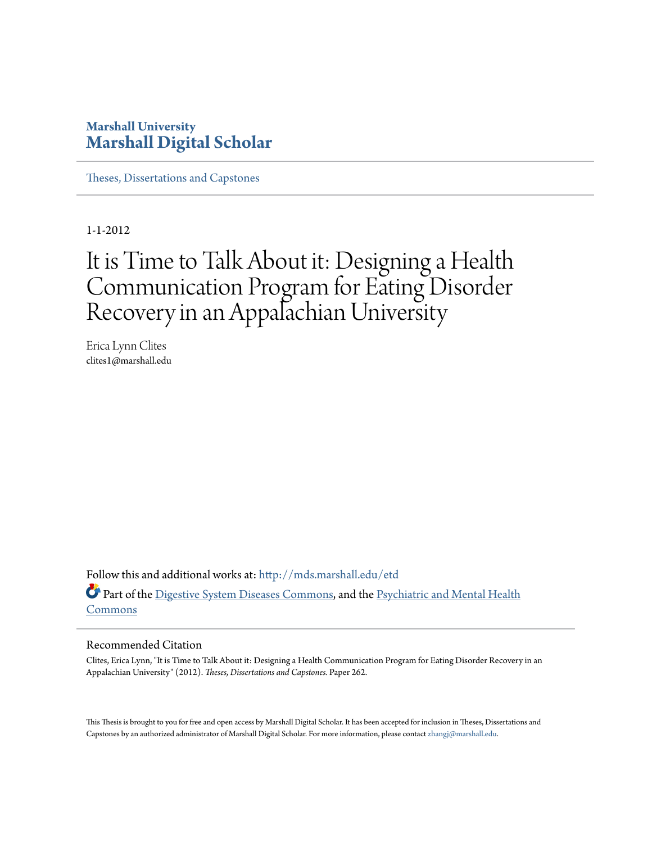### **Marshall University [Marshall Digital Scholar](http://mds.marshall.edu?utm_source=mds.marshall.edu%2Fetd%2F262&utm_medium=PDF&utm_campaign=PDFCoverPages)**

[Theses, Dissertations and Capstones](http://mds.marshall.edu/etd?utm_source=mds.marshall.edu%2Fetd%2F262&utm_medium=PDF&utm_campaign=PDFCoverPages)

1-1-2012

# It is Time to Talk About it: Designing a Health Communication Program for Eating Disorder Recovery in an Appalachian University

Erica Lynn Clites clites1@marshall.edu

Follow this and additional works at: [http://mds.marshall.edu/etd](http://mds.marshall.edu/etd?utm_source=mds.marshall.edu%2Fetd%2F262&utm_medium=PDF&utm_campaign=PDFCoverPages) Part of the [Digestive System Diseases Commons](http://network.bepress.com/hgg/discipline/986?utm_source=mds.marshall.edu%2Fetd%2F262&utm_medium=PDF&utm_campaign=PDFCoverPages), and the [Psychiatric and Mental Health](http://network.bepress.com/hgg/discipline/711?utm_source=mds.marshall.edu%2Fetd%2F262&utm_medium=PDF&utm_campaign=PDFCoverPages) [Commons](http://network.bepress.com/hgg/discipline/711?utm_source=mds.marshall.edu%2Fetd%2F262&utm_medium=PDF&utm_campaign=PDFCoverPages)

#### Recommended Citation

Clites, Erica Lynn, "It is Time to Talk About it: Designing a Health Communication Program for Eating Disorder Recovery in an Appalachian University" (2012). *Theses, Dissertations and Capstones.* Paper 262.

This Thesis is brought to you for free and open access by Marshall Digital Scholar. It has been accepted for inclusion in Theses, Dissertations and Capstones by an authorized administrator of Marshall Digital Scholar. For more information, please contact [zhangj@marshall.edu.](mailto:zhangj@marshall.edu)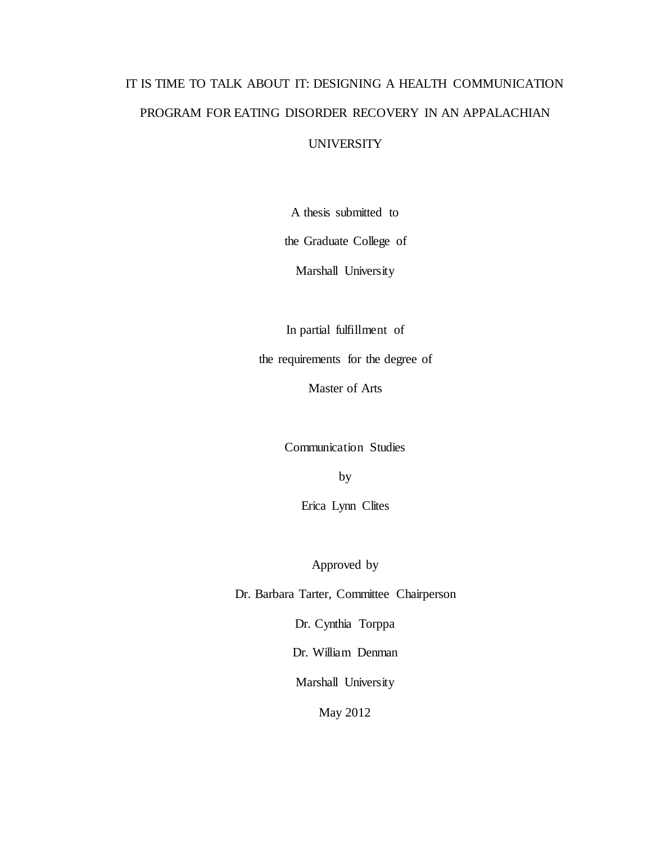# IT IS TIME TO TALK ABOUT IT: DESIGNING A HEALTH COMMUNICATION PROGRAM FOR EATING DISORDER RECOVERY IN AN APPALACHIAN

#### UNIVERSITY

A thesis submitted to

the Graduate College of

Marshall University

In partial fulfillment of

the requirements for the degree of

Master of Arts

Communication Studies

by

Erica Lynn Clites

Approved by

Dr. Barbara Tarter, Committee Chairperson

Dr. Cynthia Torppa

Dr. William Denman

Marshall University

May 2012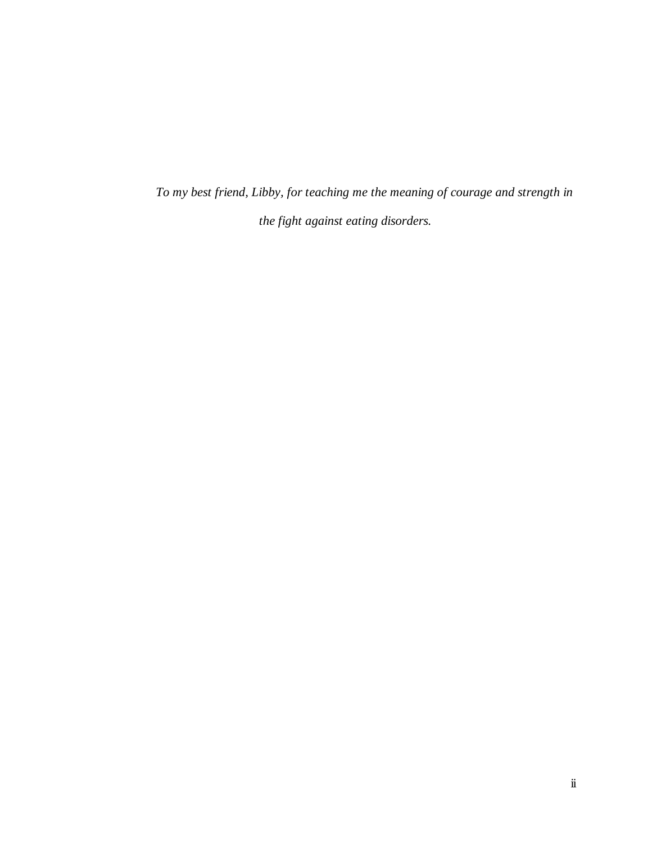*To my best friend, Libby, for teaching me the meaning of courage and strength in the fight against eating disorders.*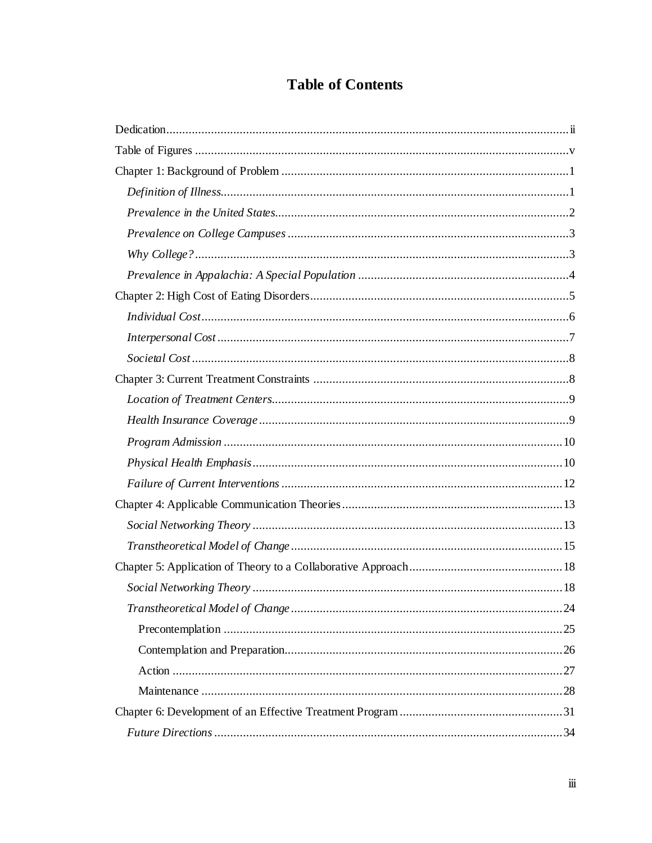# **Table of Contents**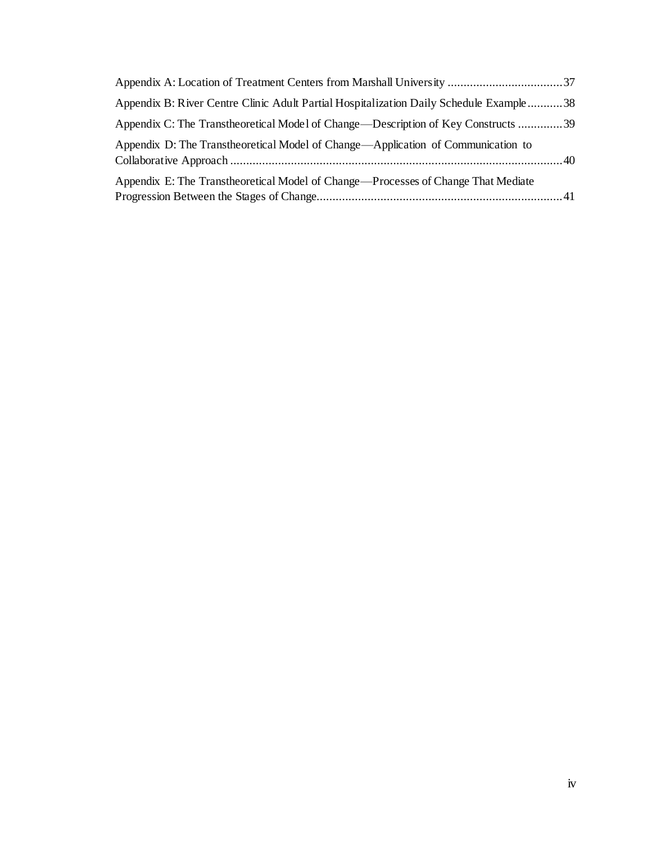| Appendix B: River Centre Clinic Adult Partial Hospitalization Daily Schedule Example  38 |  |
|------------------------------------------------------------------------------------------|--|
| Appendix C: The Transtheoretical Model of Change—Description of Key Constructs 39        |  |
| Appendix D: The Transtheoretical Model of Change—Application of Communication to         |  |
| Appendix E: The Transtheoretical Model of Change—Processes of Change That Mediate        |  |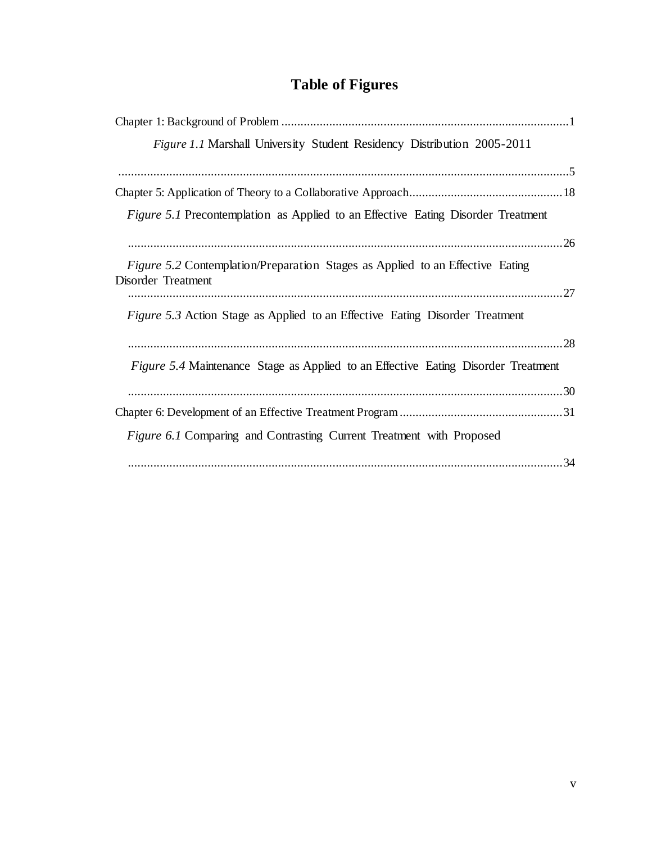# **Table of Figures**

| <i>Figure 1.1</i> Marshall University Student Residency Distribution 2005-2011                             |
|------------------------------------------------------------------------------------------------------------|
|                                                                                                            |
|                                                                                                            |
| <i>Figure 5.1</i> Precontemplation as Applied to an Effective Eating Disorder Treatment                    |
|                                                                                                            |
| <i>Figure 5.2</i> Contemplation/Preparation Stages as Applied to an Effective Eating<br>Disorder Treatment |
|                                                                                                            |
| <i>Figure 5.3</i> Action Stage as Applied to an Effective Eating Disorder Treatment                        |
|                                                                                                            |
| <i>Figure 5.4</i> Maintenance Stage as Applied to an Effective Eating Disorder Treatment                   |
|                                                                                                            |
|                                                                                                            |
| <i>Figure 6.1</i> Comparing and Contrasting Current Treatment with Proposed                                |
|                                                                                                            |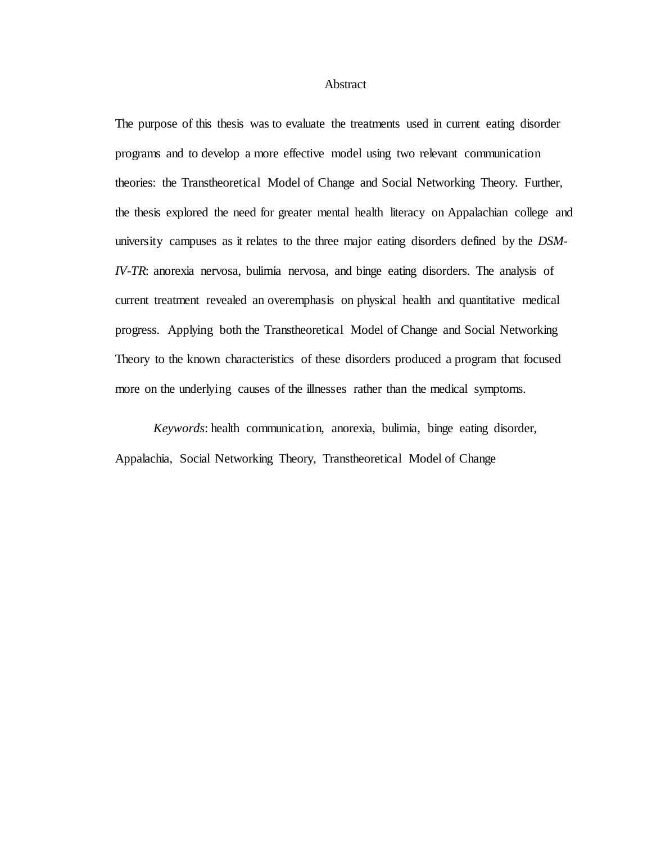**Abstract** 

The purpose of this thesis was to evaluate the treatments used in current eating disorder programs and to develop a more effective model using two relevant communication theories: the Transtheoretical Model of Change and Social Networking Theory. Further, the thesis explored the need for greater mental health literacy on Appalachian college and university campuses as it relates to the three major eating disorders defined by the *DSM-IV-TR*: anorexia nervosa, bulimia nervosa, and binge eating disorders. The analysis of current treatment revealed an overemphasis on physical health and quantitative medical progress. Applying both the Transtheoretical Model of Change and Social Networking Theory to the known characteristics of these disorders produced a program that focused more on the underlying causes of the illnesses rather than the medical symptoms.

*Keywords*: health communication, anorexia, bulimia, binge eating disorder, Appalachia, Social Networking Theory, Transtheoretical Model of Change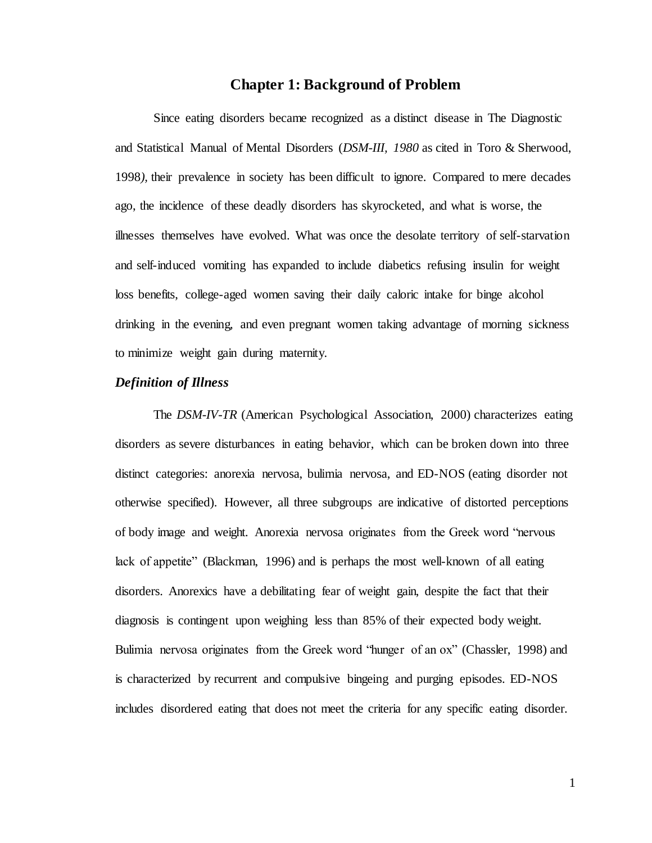#### **Chapter 1: Background of Problem**

<span id="page-7-0"></span>Since eating disorders became recognized as a distinct disease in The Diagnostic and Statistical Manual of Mental Disorders (*DSM-III, 1980* as cited in Toro & Sherwood, 1998*),* their prevalence in society has been difficult to ignore. Compared to mere decades ago, the incidence of these deadly disorders has skyrocketed, and what is worse, the illnesses themselves have evolved. What was once the desolate territory of self-starvation and self-induced vomiting has expanded to include diabetics refusing insulin for weight loss benefits, college-aged women saving their daily caloric intake for binge alcohol drinking in the evening, and even pregnant women taking advantage of morning sickness to minimize weight gain during maternity.

#### <span id="page-7-1"></span>*Definition of Illness*

The *DSM-IV-TR* (American Psychological Association, 2000) characterizes eating disorders as severe disturbances in eating behavior, which can be broken down into three distinct categories: anorexia nervosa, bulimia nervosa, and ED-NOS (eating disorder not otherwise specified). However, all three subgroups are indicative of distorted perceptions of body image and weight. Anorexia nervosa originates from the Greek word "nervous lack of appetite" (Blackman, 1996) and is perhaps the most well-known of all eating disorders. Anorexics have a debilitating fear of weight gain, despite the fact that their diagnosis is contingent upon weighing less than 85% of their expected body weight. Bulimia nervosa originates from the Greek word "hunger of an ox" (Chassler, 1998) and is characterized by recurrent and compulsive bingeing and purging episodes. ED-NOS includes disordered eating that does not meet the criteria for any specific eating disorder.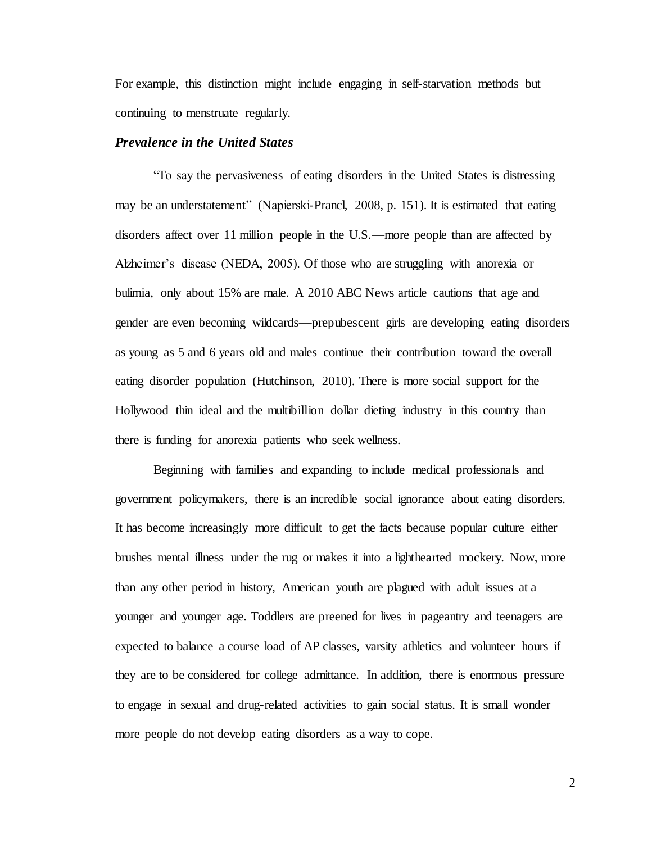For example, this distinction might include engaging in self-starvation methods but continuing to menstruate regularly.

#### <span id="page-8-0"></span>*Prevalence in the United States*

"To say the pervasiveness of eating disorders in the United States is distressing may be an understatement" (Napierski-Prancl, 2008, p. 151). It is estimated that eating disorders affect over 11 million people in the U.S.—more people than are affected by Alzheimer's disease (NEDA, 2005). Of those who are struggling with anorexia or bulimia, only about 15% are male. A 2010 ABC News article cautions that age and gender are even becoming wildcards—prepubescent girls are developing eating disorders as young as 5 and 6 years old and males continue their contribution toward the overall eating disorder population (Hutchinson, 2010). There is more social support for the Hollywood thin ideal and the multibillion dollar dieting industry in this country than there is funding for anorexia patients who seek wellness.

Beginning with families and expanding to include medical professionals and government policymakers, there is an incredible social ignorance about eating disorders. It has become increasingly more difficult to get the facts because popular culture either brushes mental illness under the rug or makes it into a lighthearted mockery. Now, more than any other period in history, American youth are plagued with adult issues at a younger and younger age. Toddlers are preened for lives in pageantry and teenagers are expected to balance a course load of AP classes, varsity athletics and volunteer hours if they are to be considered for college admittance. In addition, there is enormous pressure to engage in sexual and drug-related activities to gain social status. It is small wonder more people do not develop eating disorders as a way to cope.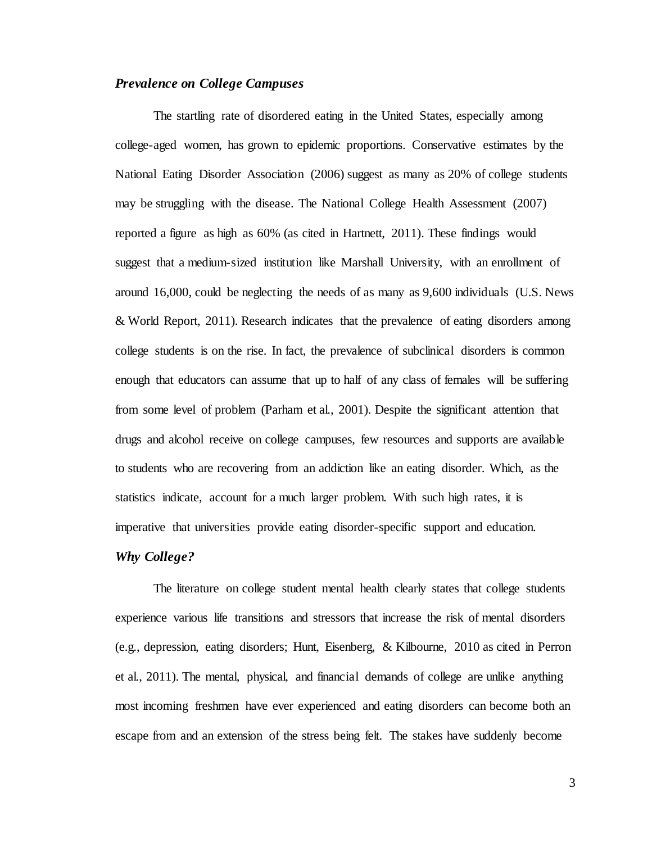#### <span id="page-9-0"></span>*Prevalence on College Campuses*

The startling rate of disordered eating in the United States, especially among college-aged women, has grown to epidemic proportions. Conservative estimates by the National Eating Disorder Association (2006) suggest as many as 20% of college students may be struggling with the disease. The National College Health Assessment (2007) reported a figure as high as 60% (as cited in Hartnett, 2011). These findings would suggest that a medium-sized institution like Marshall University, with an enrollment of around 16,000, could be neglecting the needs of as many as 9,600 individuals (U.S. News & World Report, 2011). Research indicates that the prevalence of eating disorders among college students is on the rise. In fact, the prevalence of subclinical disorders is common enough that educators can assume that up to half of any class of females will be suffering from some level of problem (Parham et al., 2001). Despite the significant attention that drugs and alcohol receive on college campuses, few resources and supports are available to students who are recovering from an addiction like an eating disorder. Which, as the statistics indicate, account for a much larger problem. With such high rates, it is imperative that universities provide eating disorder-specific support and education.

#### <span id="page-9-1"></span>*Why College?*

The literature on college student mental health clearly states that college students experience various life transitions and stressors that increase the risk of mental disorders (e.g., depression, eating disorders; Hunt, Eisenberg, & Kilbourne, 2010 as cited in Perron et al., 2011). The mental, physical, and financial demands of college are unlike anything most incoming freshmen have ever experienced and eating disorders can become both an escape from and an extension of the stress being felt. The stakes have suddenly become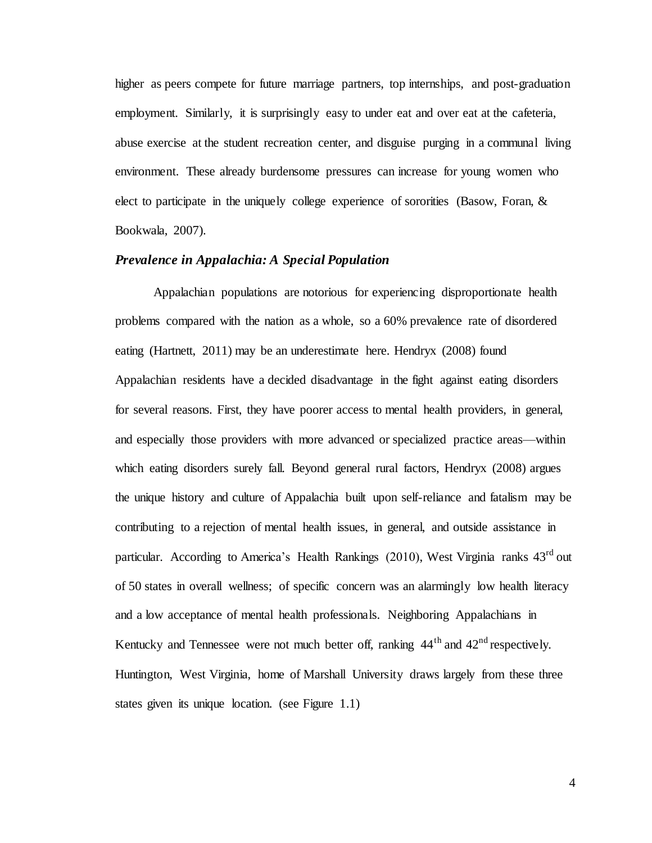higher as peers compete for future marriage partners, top internships, and post-graduation employment. Similarly, it is surprisingly easy to under eat and over eat at the cafeteria, abuse exercise at the student recreation center, and disguise purging in a communal living environment. These already burdensome pressures can increase for young women who elect to participate in the uniquely college experience of sororities (Basow, Foran, & Bookwala, 2007).

#### <span id="page-10-0"></span>*Prevalence in Appalachia: A Special Population*

Appalachian populations are notorious for experiencing disproportionate health problems compared with the nation as a whole, so a 60% prevalence rate of disordered eating (Hartnett, 2011) may be an underestimate here. Hendryx (2008) found Appalachian residents have a decided disadvantage in the fight against eating disorders for several reasons. First, they have poorer access to mental health providers, in general, and especially those providers with more advanced or specialized practice areas—within which eating disorders surely fall. Beyond general rural factors, Hendryx (2008) argues the unique history and culture of Appalachia built upon self-reliance and fatalism may be contributing to a rejection of mental health issues, in general, and outside assistance in particular. According to America's Health Rankings (2010), West Virginia ranks  $43<sup>rd</sup>$  out of 50 states in overall wellness; of specific concern was an alarmingly low health literacy and a low acceptance of mental health professionals. Neighboring Appalachians in Kentucky and Tennessee were not much better off, ranking  $44<sup>th</sup>$  and  $42<sup>nd</sup>$  respectively. Huntington, West Virginia, home of Marshall University draws largely from these three states given its unique location. (see Figure 1.1)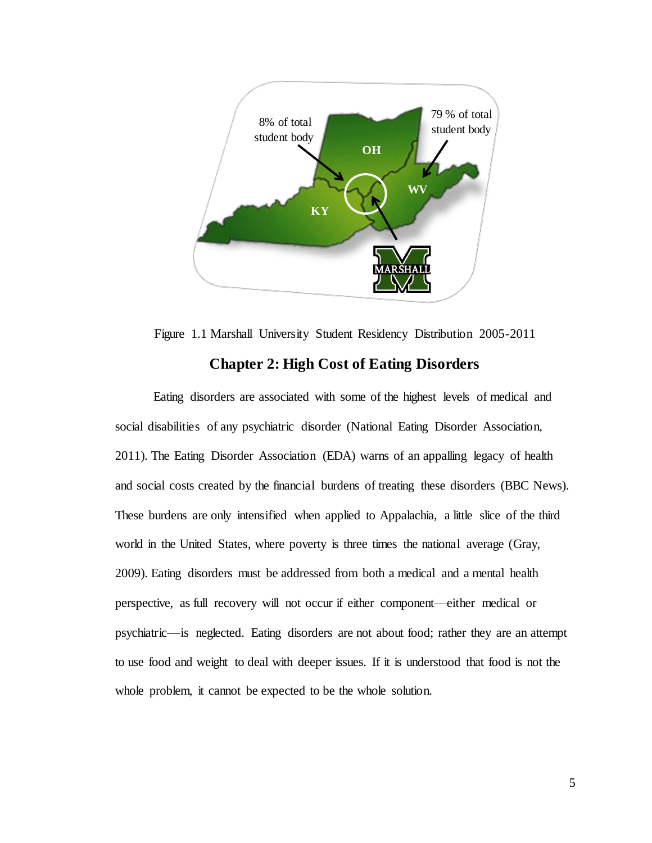

Figure 1.1 Marshall University Student Residency Distribution 2005-2011

#### **Chapter 2: High Cost of Eating Disorders**

<span id="page-11-0"></span>Eating disorders are associated with some of the highest levels of medical and social disabilities of any psychiatric disorder (National Eating Disorder Association, 2011). The Eating Disorder Association (EDA) warns of an appalling legacy of health and social costs created by the financial burdens of treating these disorders (BBC News). These burdens are only intensified when applied to Appalachia, a little slice of the third world in the United States, where poverty is three times the national average (Gray, 2009). Eating disorders must be addressed from both a medical and a mental health perspective, as full recovery will not occur if either component—either medical or psychiatric—is neglected. Eating disorders are not about food; rather they are an attempt to use food and weight to deal with deeper issues. If it is understood that food is not the whole problem, it cannot be expected to be the whole solution.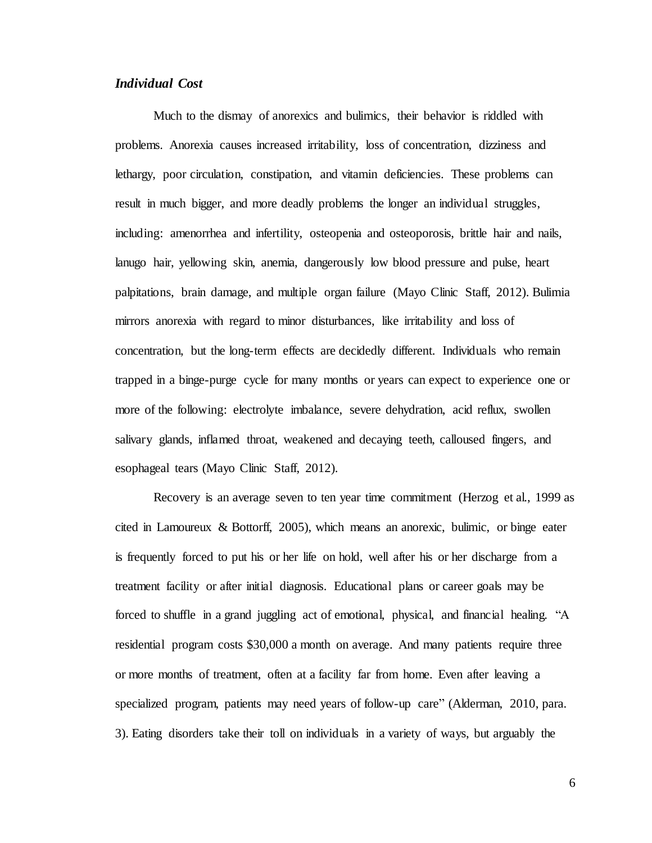#### <span id="page-12-0"></span>*Individual Cost*

Much to the dismay of anorexics and bulimics, their behavior is riddled with problems. Anorexia causes increased irritability, loss of concentration, dizziness and lethargy, poor circulation, constipation, and vitamin deficiencies. These problems can result in much bigger, and more deadly problems the longer an individual struggles, including: amenorrhea and infertility, osteopenia and osteoporosis, brittle hair and nails, lanugo hair, yellowing skin, anemia, dangerously low blood pressure and pulse, heart palpitations, brain damage, and multiple organ failure (Mayo Clinic Staff, 2012). Bulimia mirrors anorexia with regard to minor disturbances, like irritability and loss of concentration, but the long-term effects are decidedly different. Individuals who remain trapped in a binge-purge cycle for many months or years can expect to experience one or more of the following: electrolyte imbalance, severe dehydration, acid reflux, swollen salivary glands, inflamed throat, weakened and decaying teeth, calloused fingers, and esophageal tears (Mayo Clinic Staff, 2012).

Recovery is an average seven to ten year time commitment (Herzog et al., 1999 as cited in Lamoureux & Bottorff, 2005), which means an anorexic, bulimic, or binge eater is frequently forced to put his or her life on hold, well after his or her discharge from a treatment facility or after initial diagnosis. Educational plans or career goals may be forced to shuffle in a grand juggling act of emotional, physical, and financial healing. "A residential program costs \$30,000 a month on average. And many patients require three or more months of treatment, often at a facility far from home. Even after leaving a specialized program, patients may need years of follow-up care" (Alderman, 2010, para. 3). Eating disorders take their toll on individuals in a variety of ways, but arguably the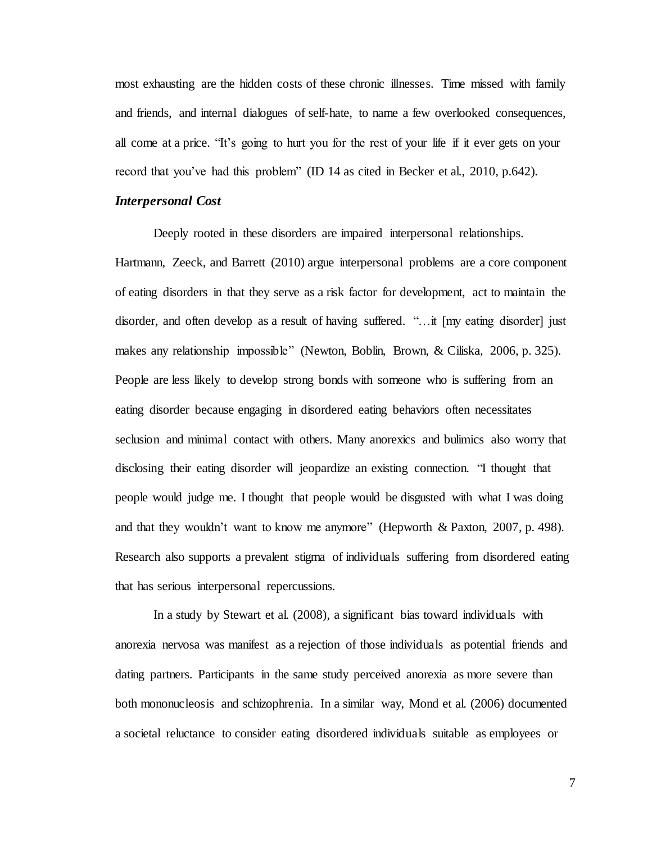most exhausting are the hidden costs of these chronic illnesses. Time missed with family and friends, and internal dialogues of self-hate, to name a few overlooked consequences, all come at a price. "It's going to hurt you for the rest of your life if it ever gets on your record that you've had this problem" (ID 14 as cited in Becker et al., 2010, p.642).

#### <span id="page-13-0"></span>*Interpersonal Cost*

Deeply rooted in these disorders are impaired interpersonal relationships. Hartmann, Zeeck, and Barrett (2010) argue interpersonal problems are a core component of eating disorders in that they serve as a risk factor for development, act to maintain the disorder, and often develop as a result of having suffered. "…it [my eating disorder] just makes any relationship impossible" (Newton, Boblin, Brown, & Ciliska, 2006, p. 325). People are less likely to develop strong bonds with someone who is suffering from an eating disorder because engaging in disordered eating behaviors often necessitates seclusion and minimal contact with others. Many anorexics and bulimics also worry that disclosing their eating disorder will jeopardize an existing connection. "I thought that people would judge me. I thought that people would be disgusted with what I was doing and that they wouldn't want to know me anymore" (Hepworth & Paxton, 2007, p. 498). Research also supports a prevalent stigma of individuals suffering from disordered eating that has serious interpersonal repercussions.

In a study by Stewart et al. (2008), a significant bias toward individuals with anorexia nervosa was manifest as a rejection of those individuals as potential friends and dating partners. Participants in the same study perceived anorexia as more severe than both mononucleosis and schizophrenia. In a similar way, Mond et al. (2006) documented a societal reluctance to consider eating disordered individuals suitable as employees or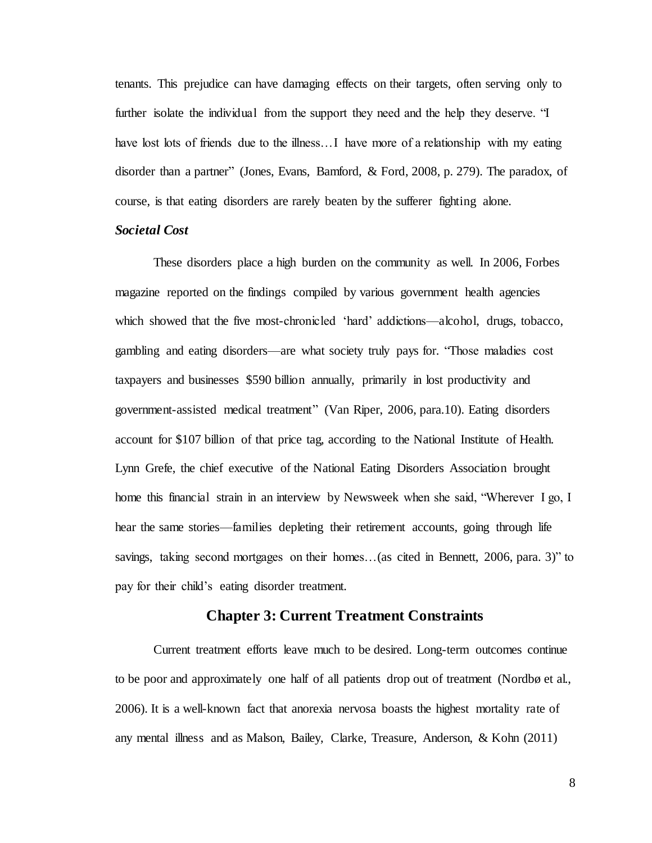tenants. This prejudice can have damaging effects on their targets, often serving only to further isolate the individual from the support they need and the help they deserve. "I have lost lots of friends due to the illness... I have more of a relationship with my eating disorder than a partner" (Jones, Evans, Bamford, & Ford, 2008, p. 279). The paradox, of course, is that eating disorders are rarely beaten by the sufferer fighting alone.

#### <span id="page-14-0"></span>*Societal Cost*

These disorders place a high burden on the community as well. In 2006, Forbes magazine reported on the findings compiled by various government health agencies which showed that the five most-chronicled 'hard' addictions—alcohol, drugs, tobacco, gambling and eating disorders—are what society truly pays for. "Those maladies cost taxpayers and businesses \$590 billion annually, primarily in lost productivity and government-assisted medical treatment" (Van Riper, 2006, para.10). Eating disorders account for \$107 billion of that price tag, according to the National Institute of Health. Lynn Grefe, the chief executive of the National Eating Disorders Association brought home this financial strain in an interview by Newsweek when she said, "Wherever I go, I hear the same stories—families depleting their retirement accounts, going through life savings, taking second mortgages on their homes…(as cited in Bennett, 2006, para. 3)" to pay for their child's eating disorder treatment.

#### **Chapter 3: Current Treatment Constraints**

<span id="page-14-1"></span>Current treatment efforts leave much to be desired. Long-term outcomes continue to be poor and approximately one half of all patients drop out of treatment (Nordbø et al., 2006). It is a well-known fact that anorexia nervosa boasts the highest mortality rate of any mental illness and as Malson, Bailey, Clarke, Treasure, Anderson, & Kohn (2011)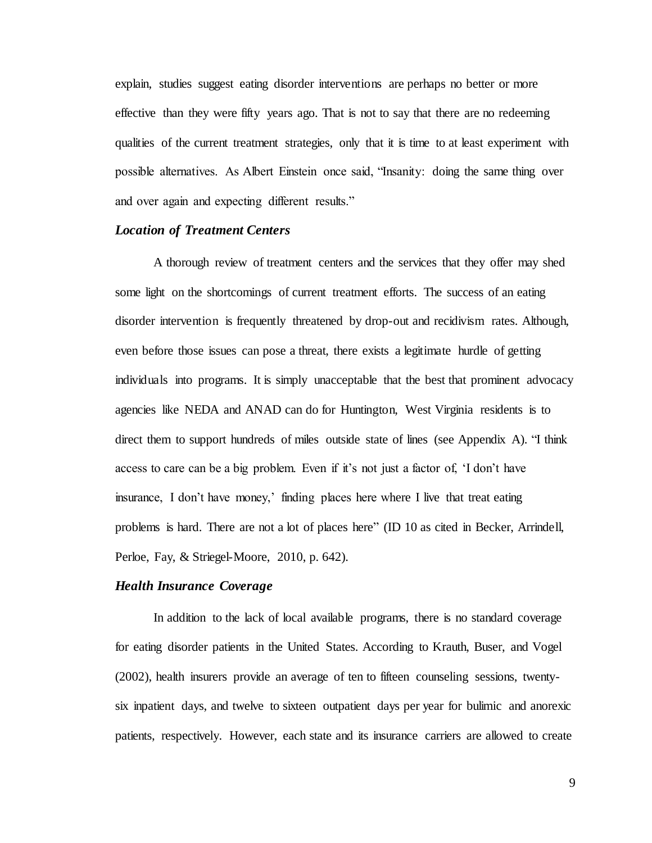explain, studies suggest eating disorder interventions are perhaps no better or more effective than they were fifty years ago. That is not to say that there are no redeeming qualities of the current treatment strategies, only that it is time to at least experiment with possible alternatives. As Albert Einstein once said, "Insanity: doing the same thing over and over again and expecting different results."

#### <span id="page-15-0"></span>*Location of Treatment Centers*

A thorough review of treatment centers and the services that they offer may shed some light on the shortcomings of current treatment efforts. The success of an eating disorder intervention is frequently threatened by drop-out and recidivism rates. Although, even before those issues can pose a threat, there exists a legitimate hurdle of getting individuals into programs. It is simply unacceptable that the best that prominent advocacy agencies like NEDA and ANAD can do for Huntington, West Virginia residents is to direct them to support hundreds of miles outside state of lines (see Appendix A). "I think access to care can be a big problem. Even if it's not just a factor of, 'I don't have insurance, I don't have money,' finding places here where I live that treat eating problems is hard. There are not a lot of places here" (ID 10 as cited in Becker, Arrindell, Perloe, Fay, & Striegel-Moore, 2010, p. 642).

#### <span id="page-15-1"></span>*Health Insurance Coverage*

In addition to the lack of local available programs, there is no standard coverage for eating disorder patients in the United States. According to Krauth, Buser, and Vogel (2002), health insurers provide an average of ten to fifteen counseling sessions, twentysix inpatient days, and twelve to sixteen outpatient days per year for bulimic and anorexic patients, respectively. However, each state and its insurance carriers are allowed to create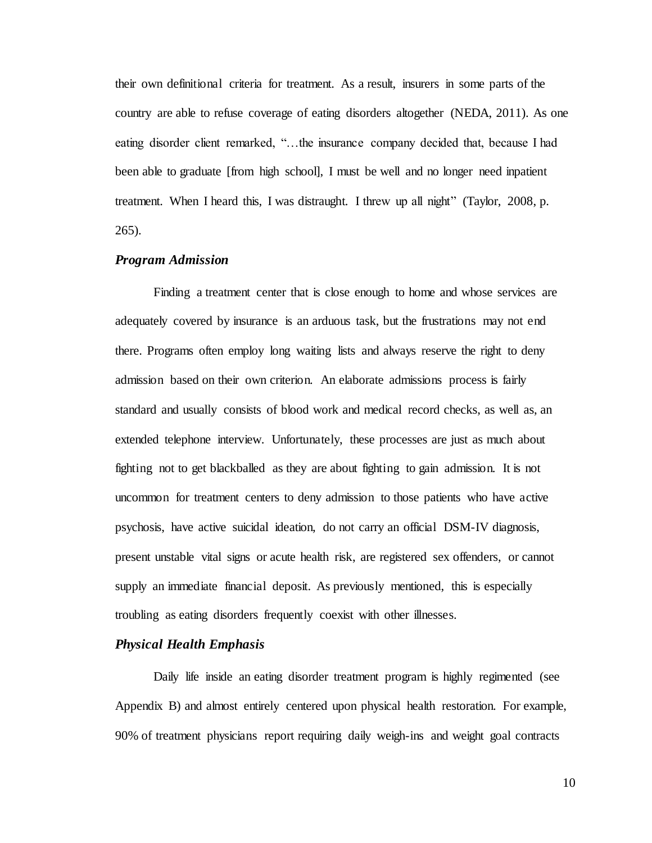their own definitional criteria for treatment. As a result, insurers in some parts of the country are able to refuse coverage of eating disorders altogether (NEDA, 2011). As one eating disorder client remarked, "…the insurance company decided that, because I had been able to graduate [from high school], I must be well and no longer need inpatient treatment. When I heard this, I was distraught. I threw up all night" (Taylor, 2008, p. 265).

#### <span id="page-16-0"></span>*Program Admission*

Finding a treatment center that is close enough to home and whose services are adequately covered by insurance is an arduous task, but the frustrations may not end there. Programs often employ long waiting lists and always reserve the right to deny admission based on their own criterion. An elaborate admissions process is fairly standard and usually consists of blood work and medical record checks, as well as, an extended telephone interview. Unfortunately, these processes are just as much about fighting not to get blackballed as they are about fighting to gain admission. It is not uncommon for treatment centers to deny admission to those patients who have active psychosis, have active suicidal ideation, do not carry an official DSM-IV diagnosis, present unstable vital signs or acute health risk, are registered sex offenders, or cannot supply an immediate financial deposit. As previously mentioned, this is especially troubling as eating disorders frequently coexist with other illnesses.

#### <span id="page-16-1"></span>*Physical Health Emphasis*

Daily life inside an eating disorder treatment program is highly regimented (see Appendix B) and almost entirely centered upon physical health restoration. For example, 90% of treatment physicians report requiring daily weigh-ins and weight goal contracts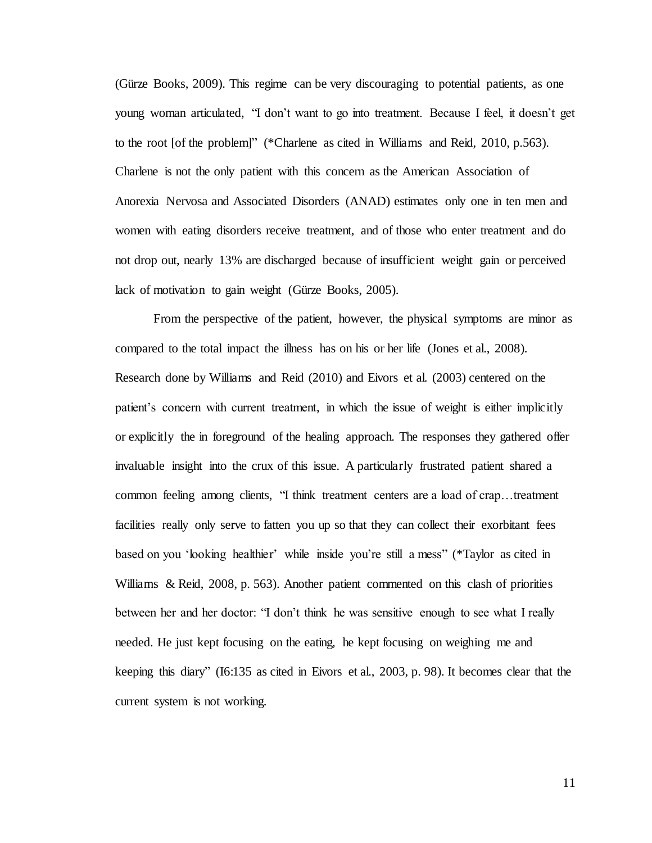(Gürze Books, 2009). This regime can be very discouraging to potential patients, as one young woman articulated, "I don't want to go into treatment. Because I feel, it doesn't get to the root [of the problem]" (\*Charlene as cited in Williams and Reid, 2010, p.563). Charlene is not the only patient with this concern as the American Association of Anorexia Nervosa and Associated Disorders (ANAD) estimates only one in ten men and women with eating disorders receive treatment, and of those who enter treatment and do not drop out, nearly 13% are discharged because of insufficient weight gain or perceived lack of motivation to gain weight (Gürze Books, 2005).

From the perspective of the patient, however, the physical symptoms are minor as compared to the total impact the illness has on his or her life (Jones et al., 2008). Research done by Williams and Reid (2010) and Eivors et al. (2003) centered on the patient's concern with current treatment, in which the issue of weight is either implicitly or explicitly the in foreground of the healing approach. The responses they gathered offer invaluable insight into the crux of this issue. A particularly frustrated patient shared a common feeling among clients, "I think treatment centers are a load of crap…treatment facilities really only serve to fatten you up so that they can collect their exorbitant fees based on you 'looking healthier' while inside you're still a mess" (\*Taylor as cited in Williams & Reid, 2008, p. 563). Another patient commented on this clash of priorities between her and her doctor: "I don't think he was sensitive enough to see what I really needed. He just kept focusing on the eating, he kept focusing on weighing me and keeping this diary" (I6:135 as cited in Eivors et al., 2003, p. 98). It becomes clear that the current system is not working.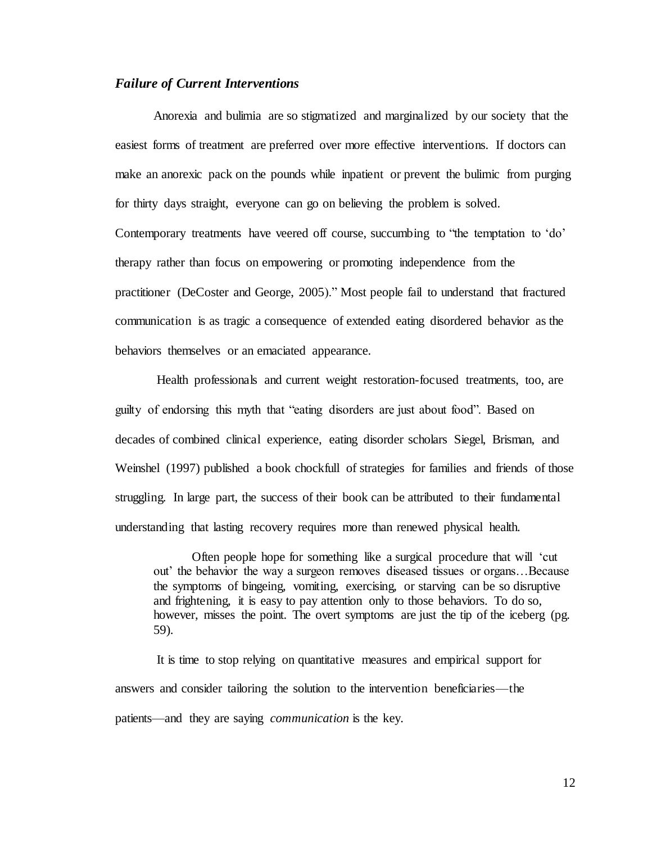#### <span id="page-18-0"></span>*Failure of Current Interventions*

Anorexia and bulimia are so stigmatized and marginalized by our society that the easiest forms of treatment are preferred over more effective interventions. If doctors can make an anorexic pack on the pounds while inpatient or prevent the bulimic from purging for thirty days straight, everyone can go on believing the problem is solved. Contemporary treatments have veered off course, succumbing to "the temptation to 'do' therapy rather than focus on empowering or promoting independence from the practitioner (DeCoster and George, 2005)." Most people fail to understand that fractured communication is as tragic a consequence of extended eating disordered behavior as the behaviors themselves or an emaciated appearance.

Health professionals and current weight restoration-focused treatments, too, are guilty of endorsing this myth that "eating disorders are just about food". Based on decades of combined clinical experience, eating disorder scholars Siegel, Brisman, and Weinshel (1997) published a book chockfull of strategies for families and friends of those struggling. In large part, the success of their book can be attributed to their fundamental understanding that lasting recovery requires more than renewed physical health.

Often people hope for something like a surgical procedure that will 'cut out' the behavior the way a surgeon removes diseased tissues or organs…Because the symptoms of bingeing, vomiting, exercising, or starving can be so disruptive and frightening, it is easy to pay attention only to those behaviors. To do so, however, misses the point. The overt symptoms are just the tip of the iceberg (pg. 59).

It is time to stop relying on quantitative measures and empirical support for answers and consider tailoring the solution to the intervention beneficiaries—the patients—and they are saying *communication* is the key.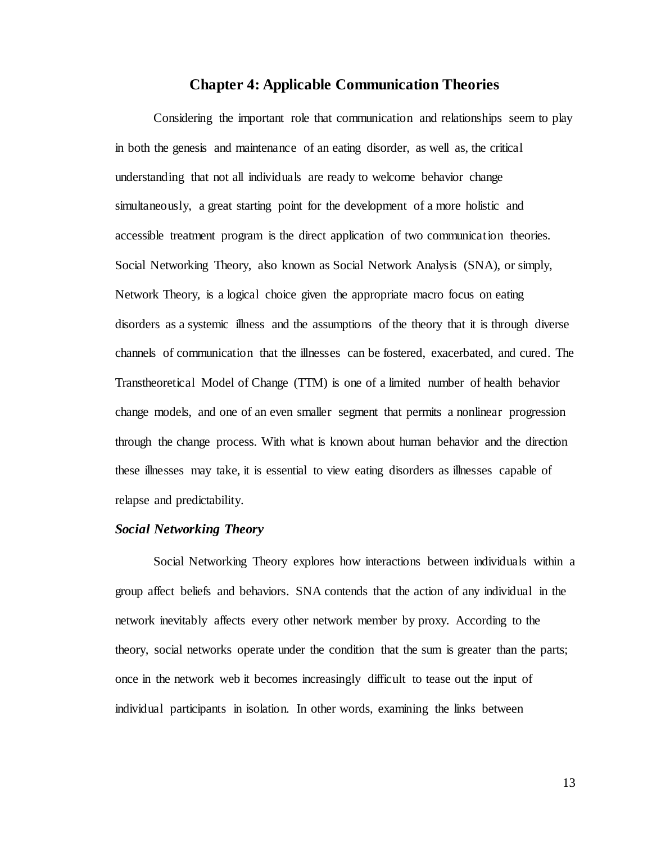#### **Chapter 4: Applicable Communication Theories**

<span id="page-19-0"></span>Considering the important role that communication and relationships seem to play in both the genesis and maintenance of an eating disorder, as well as, the critical understanding that not all individuals are ready to welcome behavior change simultaneously, a great starting point for the development of a more holistic and accessible treatment program is the direct application of two communication theories. Social Networking Theory, also known as Social Network Analysis (SNA), or simply, Network Theory, is a logical choice given the appropriate macro focus on eating disorders as a systemic illness and the assumptions of the theory that it is through diverse channels of communication that the illnesses can be fostered, exacerbated, and cured. The Transtheoretical Model of Change (TTM) is one of a limited number of health behavior change models, and one of an even smaller segment that permits a nonlinear progression through the change process. With what is known about human behavior and the direction these illnesses may take, it is essential to view eating disorders as illnesses capable of relapse and predictability.

#### <span id="page-19-1"></span>*Social Networking Theory*

Social Networking Theory explores how interactions between individuals within a group affect beliefs and behaviors. SNA contends that the action of any individual in the network inevitably affects every other network member by proxy. According to the theory, social networks operate under the condition that the sum is greater than the parts; once in the network web it becomes increasingly difficult to tease out the input of individual participants in isolation. In other words, examining the links between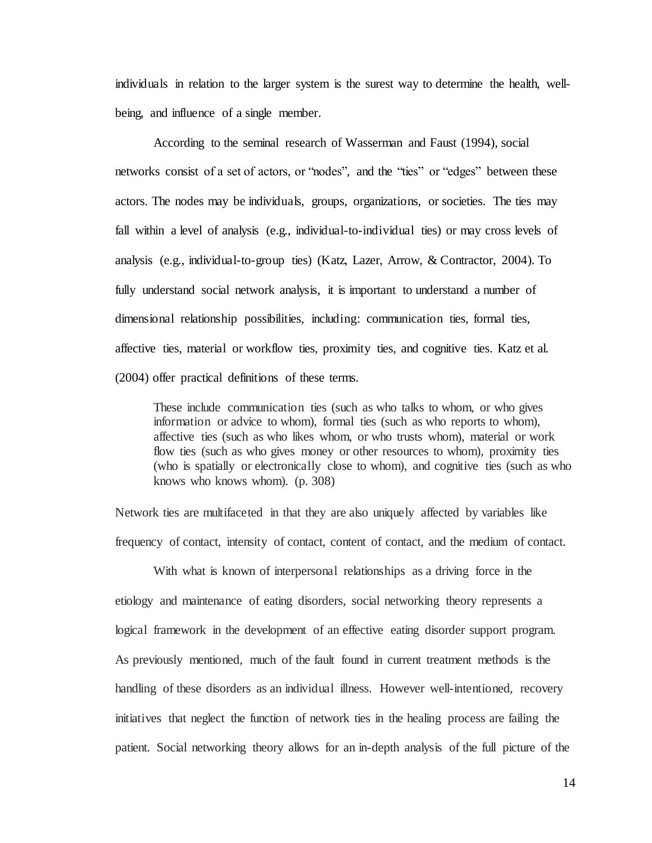individuals in relation to the larger system is the surest way to determine the health, wellbeing, and influence of a single member.

According to the seminal research of Wasserman and Faust (1994), social networks consist of a set of actors, or "nodes", and the "ties" or "edges" between these actors. The nodes may be individuals, groups, organizations, or societies. The ties may fall within a level of analysis (e.g., individual-to-individual ties) or may cross levels of analysis (e.g., individual-to-group ties) (Katz, Lazer, Arrow, & Contractor, 2004). To fully understand social network analysis, it is important to understand a number of dimensional relationship possibilities, including: communication ties, formal ties, affective ties, material or workflow ties, proximity ties, and cognitive ties. Katz et al. (2004) offer practical definitions of these terms.

These include communication ties (such as who talks to whom, or who gives information or advice to whom), formal ties (such as who reports to whom), affective ties (such as who likes whom, or who trusts whom), material or work flow ties (such as who gives money or other resources to whom), proximity ties (who is spatially or electronically close to whom), and cognitive ties (such as who knows who knows whom). (p. 308)

Network ties are multifaceted in that they are also uniquely affected by variables like frequency of contact, intensity of contact, content of contact, and the medium of contact.

With what is known of interpersonal relationships as a driving force in the etiology and maintenance of eating disorders, social networking theory represents a logical framework in the development of an effective eating disorder support program. As previously mentioned, much of the fault found in current treatment methods is the handling of these disorders as an individual illness. However well-intentioned, recovery initiatives that neglect the function of network ties in the healing process are failing the patient. Social networking theory allows for an in-depth analysis of the full picture of the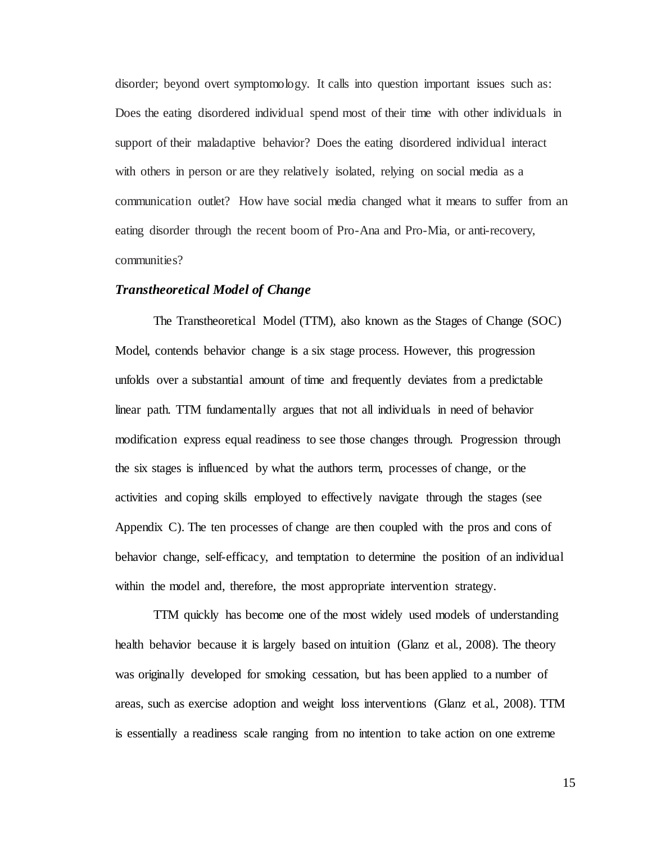disorder; beyond overt symptomology. It calls into question important issues such as: Does the eating disordered individual spend most of their time with other individuals in support of their maladaptive behavior? Does the eating disordered individual interact with others in person or are they relatively isolated, relying on social media as a communication outlet? How have social media changed what it means to suffer from an eating disorder through the recent boom of Pro-Ana and Pro-Mia, or anti-recovery, communities?

#### <span id="page-21-0"></span>*Transtheoretical Model of Change*

The Transtheoretical Model (TTM), also known as the Stages of Change (SOC) Model, contends behavior change is a six stage process. However, this progression unfolds over a substantial amount of time and frequently deviates from a predictable linear path. TTM fundamentally argues that not all individuals in need of behavior modification express equal readiness to see those changes through. Progression through the six stages is influenced by what the authors term, processes of change*,* or the activities and coping skills employed to effectively navigate through the stages (see Appendix C). The ten processes of change are then coupled with the pros and cons of behavior change, self-efficacy, and temptation to determine the position of an individual within the model and, therefore, the most appropriate intervention strategy.

TTM quickly has become one of the most widely used models of understanding health behavior because it is largely based on intuition (Glanz et al., 2008). The theory was originally developed for smoking cessation, but has been applied to a number of areas, such as exercise adoption and weight loss interventions (Glanz et al., 2008). TTM is essentially a readiness scale ranging from no intention to take action on one extreme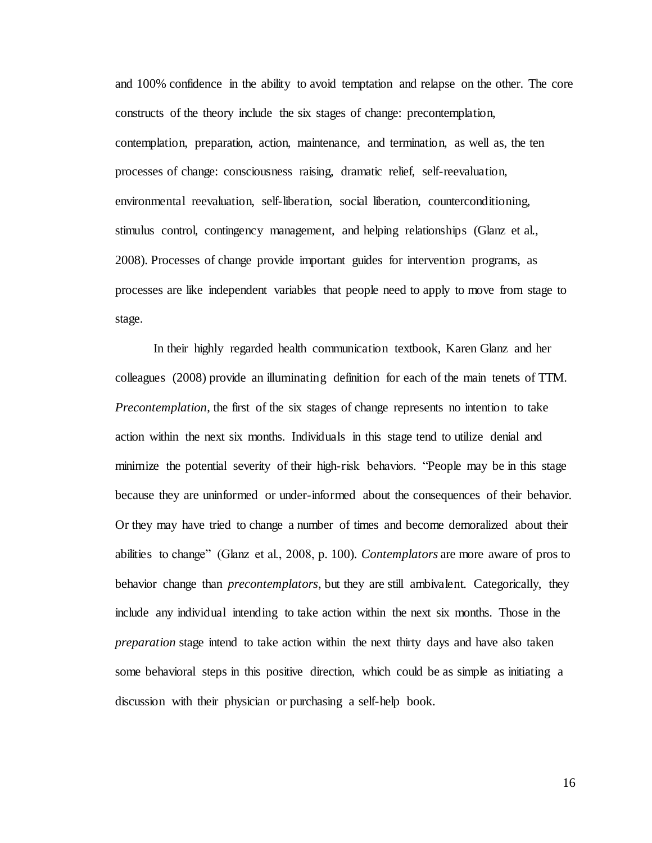and 100% confidence in the ability to avoid temptation and relapse on the other. The core constructs of the theory include the six stages of change: precontemplation, contemplation, preparation, action, maintenance, and termination, as well as, the ten processes of change: consciousness raising, dramatic relief, self-reevaluation, environmental reevaluation, self-liberation, social liberation, counterconditioning, stimulus control, contingency management, and helping relationships (Glanz et al., 2008). Processes of change provide important guides for intervention programs, as processes are like independent variables that people need to apply to move from stage to stage.

In their highly regarded health communication textbook, Karen Glanz and her colleagues (2008) provide an illuminating definition for each of the main tenets of TTM. *Precontemplation*, the first of the six stages of change represents no intention to take action within the next six months. Individuals in this stage tend to utilize denial and minimize the potential severity of their high-risk behaviors. "People may be in this stage because they are uninformed or under-informed about the consequences of their behavior. Or they may have tried to change a number of times and become demoralized about their abilities to change" (Glanz et al., 2008, p. 100). *Contemplators* are more aware of pros to behavior change than *precontemplators*, but they are still ambivalent. Categorically, they include any individual intending to take action within the next six months. Those in the *preparation* stage intend to take action within the next thirty days and have also taken some behavioral steps in this positive direction, which could be as simple as initiating a discussion with their physician or purchasing a self-help book.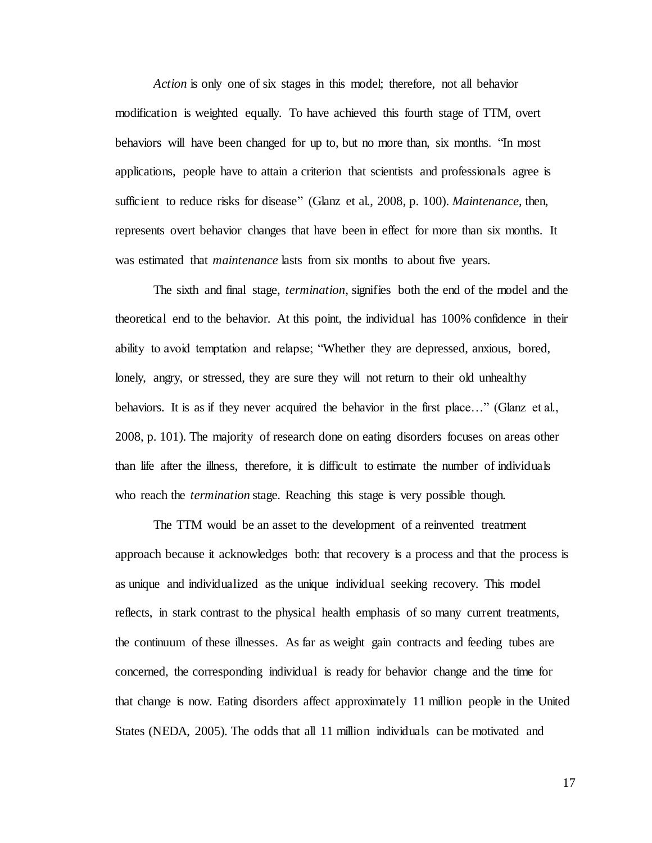*Action* is only one of six stages in this model; therefore, not all behavior modification is weighted equally. To have achieved this fourth stage of TTM, overt behaviors will have been changed for up to, but no more than, six months. "In most applications, people have to attain a criterion that scientists and professionals agree is sufficient to reduce risks for disease" (Glanz et al., 2008, p. 100). *Maintenance*, then, represents overt behavior changes that have been in effect for more than six months. It was estimated that *maintenance* lasts from six months to about five years.

The sixth and final stage, *termination*, signifies both the end of the model and the theoretical end to the behavior. At this point, the individual has 100% confidence in their ability to avoid temptation and relapse; "Whether they are depressed, anxious, bored, lonely, angry, or stressed, they are sure they will not return to their old unhealthy behaviors. It is as if they never acquired the behavior in the first place..." (Glanz et al., 2008, p. 101). The majority of research done on eating disorders focuses on areas other than life after the illness, therefore, it is difficult to estimate the number of individuals who reach the *termination* stage. Reaching this stage is very possible though.

The TTM would be an asset to the development of a reinvented treatment approach because it acknowledges both: that recovery is a process and that the process is as unique and individualized as the unique individual seeking recovery. This model reflects, in stark contrast to the physical health emphasis of so many current treatments, the continuum of these illnesses. As far as weight gain contracts and feeding tubes are concerned, the corresponding individual is ready for behavior change and the time for that change is now. Eating disorders affect approximately 11 million people in the United States (NEDA, 2005). The odds that all 11 million individuals can be motivated and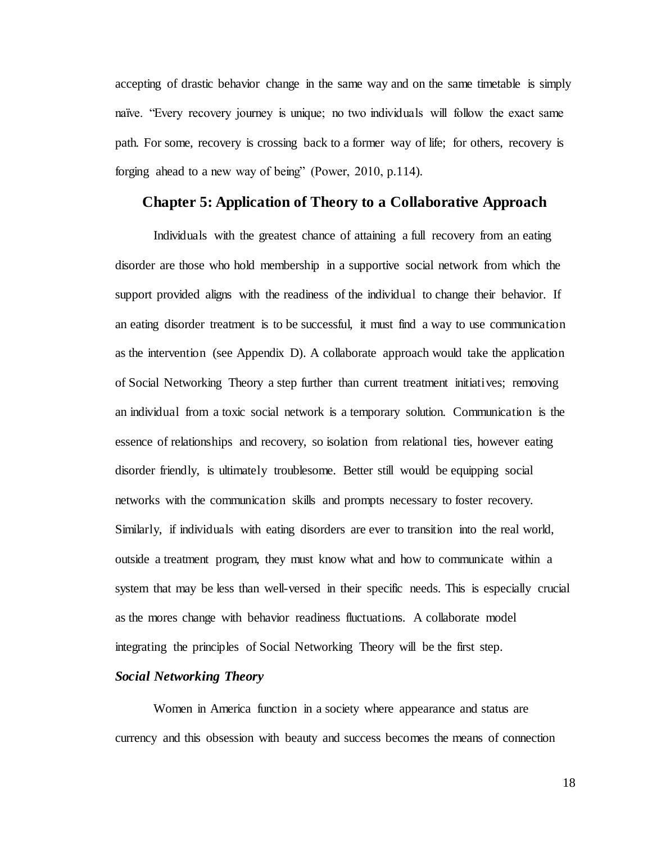accepting of drastic behavior change in the same way and on the same timetable is simply naïve. "Every recovery journey is unique; no two individuals will follow the exact same path. For some, recovery is crossing back to a former way of life; for others, recovery is forging ahead to a new way of being" (Power, 2010, p.114).

#### <span id="page-24-0"></span>**Chapter 5: Application of Theory to a Collaborative Approach**

Individuals with the greatest chance of attaining a full recovery from an eating disorder are those who hold membership in a supportive social network from which the support provided aligns with the readiness of the individual to change their behavior. If an eating disorder treatment is to be successful, it must find a way to use communication as the intervention (see Appendix D). A collaborate approach would take the application of Social Networking Theory a step further than current treatment initiatives; removing an individual from a toxic social network is a temporary solution. Communication is the essence of relationships and recovery, so isolation from relational ties, however eating disorder friendly, is ultimately troublesome. Better still would be equipping social networks with the communication skills and prompts necessary to foster recovery. Similarly, if individuals with eating disorders are ever to transition into the real world, outside a treatment program, they must know what and how to communicate within a system that may be less than well-versed in their specific needs. This is especially crucial as the mores change with behavior readiness fluctuations. A collaborate model integrating the principles of Social Networking Theory will be the first step.

#### <span id="page-24-1"></span>*Social Networking Theory*

Women in America function in a society where appearance and status are currency and this obsession with beauty and success becomes the means of connection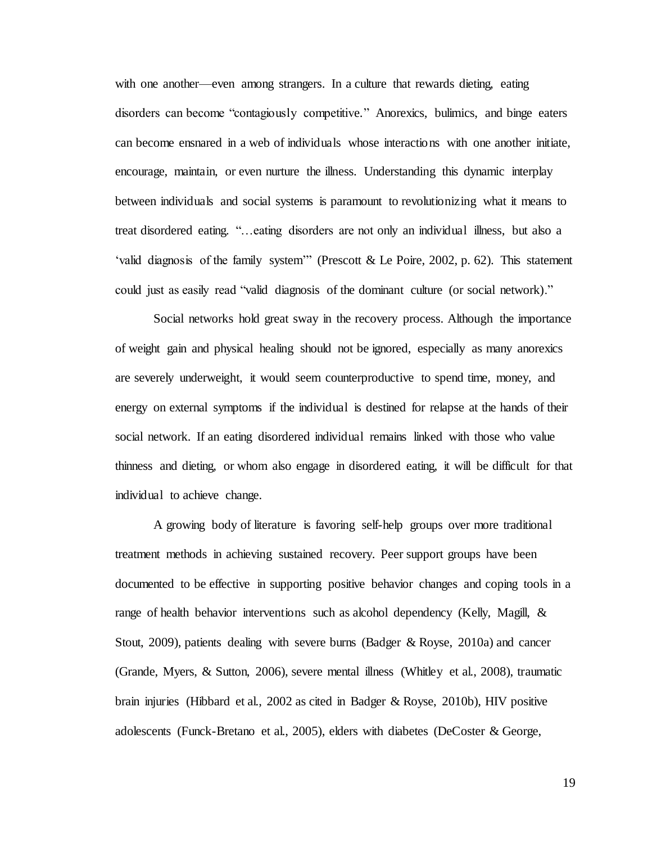with one another—even among strangers. In a culture that rewards dieting, eating disorders can become "contagiously competitive." Anorexics, bulimics, and binge eaters can become ensnared in a web of individuals whose interactions with one another initiate, encourage, maintain, or even nurture the illness. Understanding this dynamic interplay between individuals and social systems is paramount to revolutionizing what it means to treat disordered eating. "…eating disorders are not only an individual illness, but also a 'valid diagnosis of the family system'" (Prescott & Le Poire, 2002, p. 62). This statement could just as easily read "valid diagnosis of the dominant culture (or social network)."

Social networks hold great sway in the recovery process. Although the importance of weight gain and physical healing should not be ignored, especially as many anorexics are severely underweight, it would seem counterproductive to spend time, money, and energy on external symptoms if the individual is destined for relapse at the hands of their social network. If an eating disordered individual remains linked with those who value thinness and dieting, or whom also engage in disordered eating, it will be difficult for that individual to achieve change.

A growing body of literature is favoring self-help groups over more traditional treatment methods in achieving sustained recovery. Peer support groups have been documented to be effective in supporting positive behavior changes and coping tools in a range of health behavior interventions such as alcohol dependency (Kelly, Magill, & Stout, 2009), patients dealing with severe burns (Badger  $\&$  Royse, 2010a) and cancer (Grande, Myers, & Sutton, 2006), severe mental illness (Whitley et al., 2008), traumatic brain injuries (Hibbard et al., 2002 as cited in Badger & Royse, 2010b), HIV positive adolescents (Funck-Bretano et al., 2005), elders with diabetes (DeCoster & George,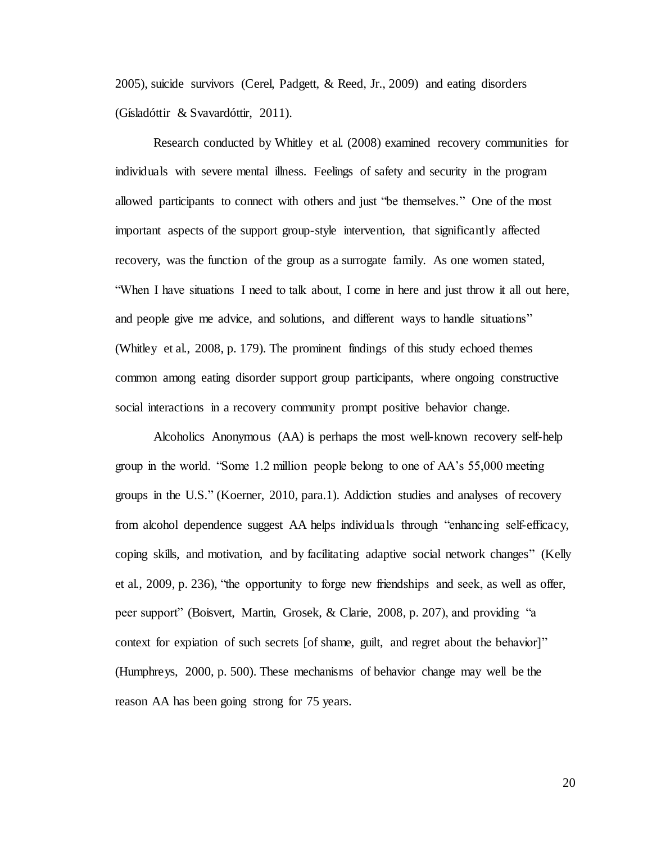2005), suicide survivors (Cerel, Padgett, & Reed, Jr., 2009) and eating disorders (Gísladóttir & Svavardóttir, 2011).

Research conducted by Whitley et al. (2008) examined recovery communities for individuals with severe mental illness. Feelings of safety and security in the program allowed participants to connect with others and just "be themselves." One of the most important aspects of the support group-style intervention, that significantly affected recovery, was the function of the group as a surrogate family. As one women stated, "When I have situations I need to talk about, I come in here and just throw it all out here, and people give me advice, and solutions, and different ways to handle situations" (Whitley et al., 2008, p. 179). The prominent findings of this study echoed themes common among eating disorder support group participants, where ongoing constructive social interactions in a recovery community prompt positive behavior change.

Alcoholics Anonymous (AA) is perhaps the most well-known recovery self-help group in the world. "Some 1.2 million people belong to one of AA's 55,000 meeting groups in the U.S." (Koerner, 2010, para.1). Addiction studies and analyses of recovery from alcohol dependence suggest AA helps individuals through "enhancing self-efficacy, coping skills, and motivation, and by facilitating adaptive social network changes" (Kelly et al., 2009, p. 236), "the opportunity to forge new friendships and seek, as well as offer, peer support" (Boisvert, Martin, Grosek, & Clarie, 2008, p. 207), and providing "a context for expiation of such secrets [of shame, guilt, and regret about the behavior]" (Humphreys, 2000, p. 500). These mechanisms of behavior change may well be the reason AA has been going strong for 75 years.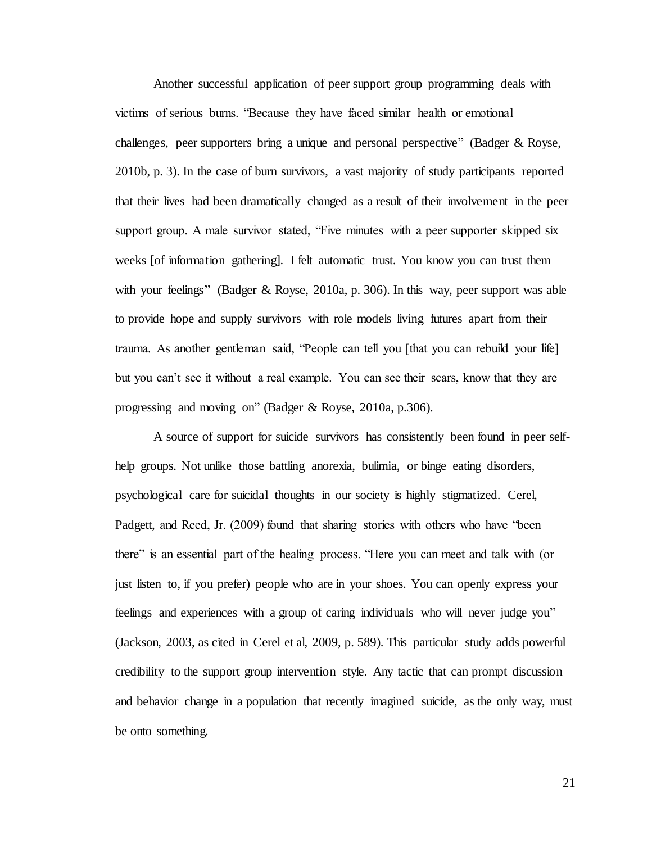Another successful application of peer support group programming deals with victims of serious burns. "Because they have faced similar health or emotional challenges, peer supporters bring a unique and personal perspective" (Badger & Royse, 2010b, p. 3). In the case of burn survivors, a vast majority of study participants reported that their lives had been dramatically changed as a result of their involvement in the peer support group. A male survivor stated, "Five minutes with a peer supporter skipped six weeks [of information gathering]. I felt automatic trust. You know you can trust them with your feelings" (Badger & Royse, 2010a, p. 306). In this way, peer support was able to provide hope and supply survivors with role models living futures apart from their trauma. As another gentleman said, "People can tell you [that you can rebuild your life] but you can't see it without a real example. You can see their scars, know that they are progressing and moving on" (Badger & Royse, 2010a, p.306).

A source of support for suicide survivors has consistently been found in peer selfhelp groups. Not unlike those battling anorexia, bulimia, or binge eating disorders, psychological care for suicidal thoughts in our society is highly stigmatized. Cerel, Padgett, and Reed, Jr. (2009) found that sharing stories with others who have "been there" is an essential part of the healing process. "Here you can meet and talk with (or just listen to, if you prefer) people who are in your shoes. You can openly express your feelings and experiences with a group of caring individuals who will never judge you" (Jackson, 2003, as cited in Cerel et al, 2009, p. 589). This particular study adds powerful credibility to the support group intervention style. Any tactic that can prompt discussion and behavior change in a population that recently imagined suicide, as the only way, must be onto something.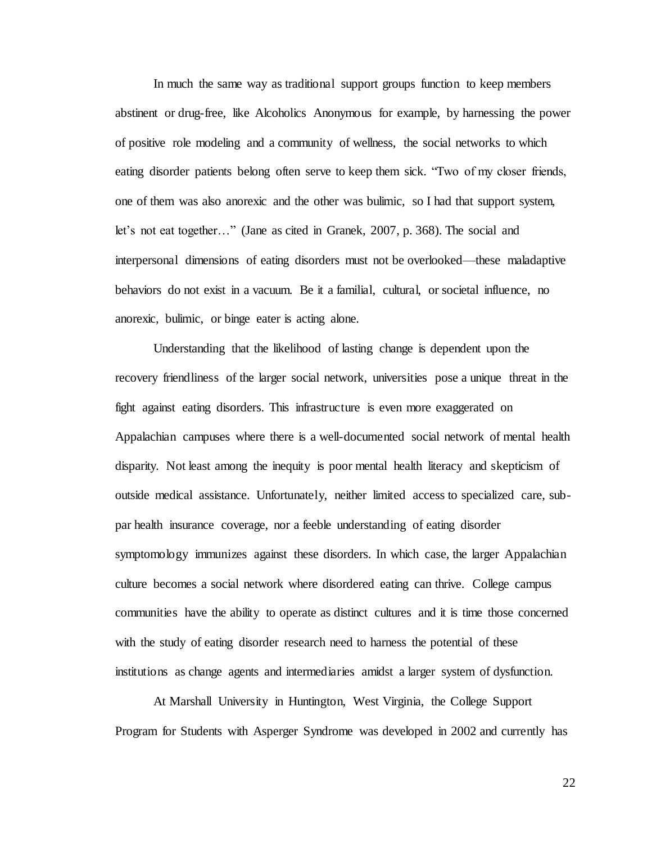In much the same way as traditional support groups function to keep members abstinent or drug-free, like Alcoholics Anonymous for example, by harnessing the power of positive role modeling and a community of wellness, the social networks to which eating disorder patients belong often serve to keep them sick. "Two of my closer friends, one of them was also anorexic and the other was bulimic, so I had that support system, let's not eat together…" (Jane as cited in Granek, 2007, p. 368). The social and interpersonal dimensions of eating disorders must not be overlooked—these maladaptive behaviors do not exist in a vacuum. Be it a familial, cultural, or societal influence, no anorexic, bulimic, or binge eater is acting alone.

Understanding that the likelihood of lasting change is dependent upon the recovery friendliness of the larger social network, universities pose a unique threat in the fight against eating disorders. This infrastructure is even more exaggerated on Appalachian campuses where there is a well-documented social network of mental health disparity. Not least among the inequity is poor mental health literacy and skepticism of outside medical assistance. Unfortunately, neither limited access to specialized care, subpar health insurance coverage, nor a feeble understanding of eating disorder symptomology immunizes against these disorders. In which case, the larger Appalachian culture becomes a social network where disordered eating can thrive. College campus communities have the ability to operate as distinct cultures and it is time those concerned with the study of eating disorder research need to harness the potential of these institutions as change agents and intermediaries amidst a larger system of dysfunction.

At Marshall University in Huntington, West Virginia, the College Support Program for Students with Asperger Syndrome was developed in 2002 and currently has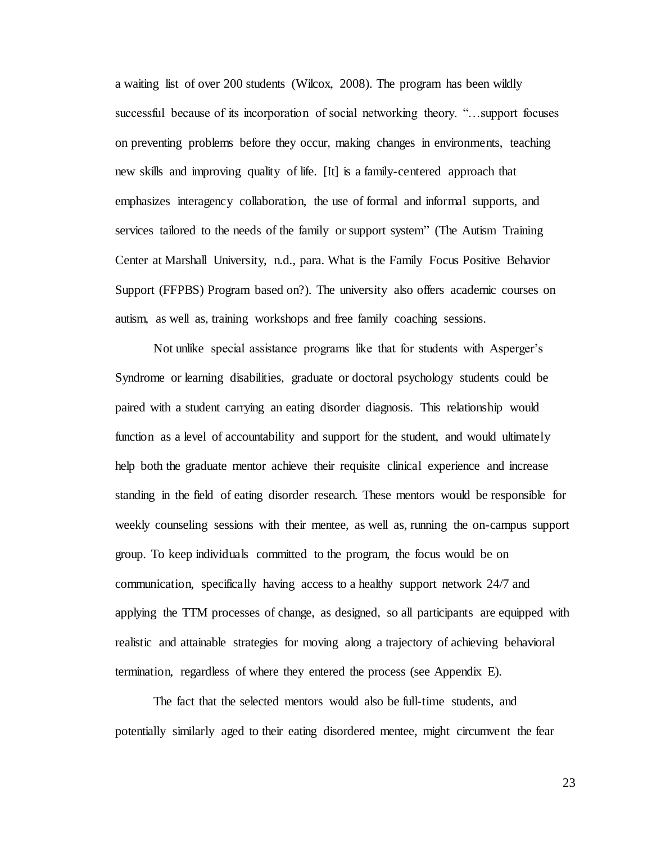a waiting list of over 200 students (Wilcox, 2008). The program has been wildly successful because of its incorporation of social networking theory. "…support focuses on preventing problems before they occur, making changes in environments, teaching new skills and improving quality of life. [It] is a family-centered approach that emphasizes interagency collaboration, the use of formal and informal supports, and services tailored to the needs of the family or support system" (The Autism Training Center at Marshall University, n.d., para. What is the Family Focus Positive Behavior Support (FFPBS) Program based on?). The university also offers academic courses on autism, as well as, training workshops and free family coaching sessions.

Not unlike special assistance programs like that for students with Asperger's Syndrome or learning disabilities, graduate or doctoral psychology students could be paired with a student carrying an eating disorder diagnosis. This relationship would function as a level of accountability and support for the student, and would ultimately help both the graduate mentor achieve their requisite clinical experience and increase standing in the field of eating disorder research. These mentors would be responsible for weekly counseling sessions with their mentee, as well as, running the on-campus support group. To keep individuals committed to the program, the focus would be on communication, specifically having access to a healthy support network 24/7 and applying the TTM processes of change, as designed, so all participants are equipped with realistic and attainable strategies for moving along a trajectory of achieving behavioral termination, regardless of where they entered the process (see Appendix E).

The fact that the selected mentors would also be full-time students, and potentially similarly aged to their eating disordered mentee, might circumvent the fear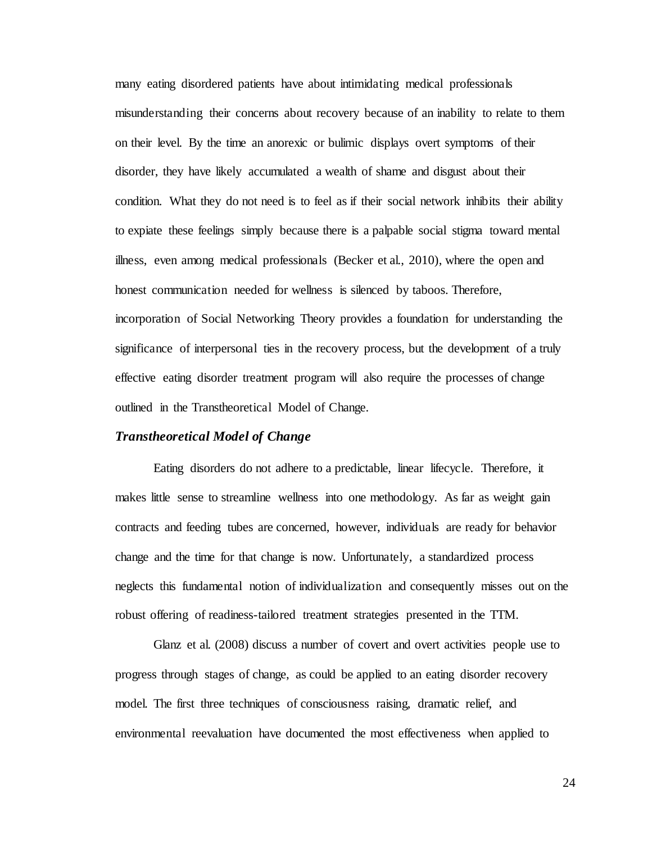many eating disordered patients have about intimidating medical professionals misunderstanding their concerns about recovery because of an inability to relate to them on their level. By the time an anorexic or bulimic displays overt symptoms of their disorder, they have likely accumulated a wealth of shame and disgust about their condition. What they do not need is to feel as if their social network inhibits their ability to expiate these feelings simply because there is a palpable social stigma toward mental illness, even among medical professionals (Becker et al., 2010), where the open and honest communication needed for wellness is silenced by taboos. Therefore, incorporation of Social Networking Theory provides a foundation for understanding the significance of interpersonal ties in the recovery process, but the development of a truly effective eating disorder treatment program will also require the processes of change outlined in the Transtheoretical Model of Change.

#### <span id="page-30-0"></span>*Transtheoretical Model of Change*

Eating disorders do not adhere to a predictable, linear lifecycle. Therefore, it makes little sense to streamline wellness into one methodology. As far as weight gain contracts and feeding tubes are concerned, however, individuals are ready for behavior change and the time for that change is now. Unfortunately, a standardized process neglects this fundamental notion of individualization and consequently misses out on the robust offering of readiness-tailored treatment strategies presented in the TTM.

Glanz et al. (2008) discuss a number of covert and overt activities people use to progress through stages of change, as could be applied to an eating disorder recovery model. The first three techniques of consciousness raising, dramatic relief, and environmental reevaluation have documented the most effectiveness when applied to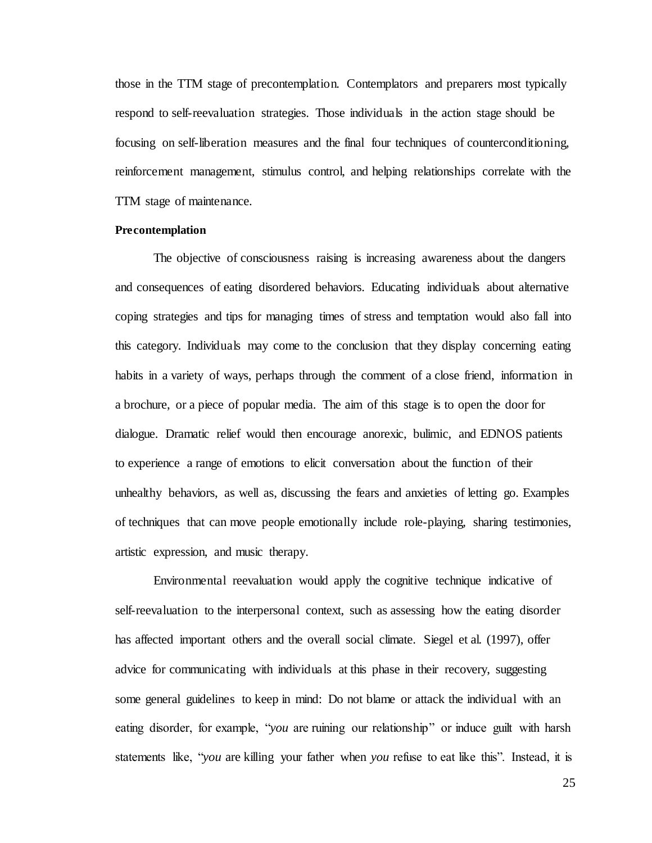those in the TTM stage of precontemplation. Contemplators and preparers most typically respond to self-reevaluation strategies. Those individuals in the action stage should be focusing on self-liberation measures and the final four techniques of counterconditioning, reinforcement management, stimulus control, and helping relationships correlate with the TTM stage of maintenance.

#### <span id="page-31-0"></span>**Precontemplation**

The objective of consciousness raising is increasing awareness about the dangers and consequences of eating disordered behaviors. Educating individuals about alternative coping strategies and tips for managing times of stress and temptation would also fall into this category. Individuals may come to the conclusion that they display concerning eating habits in a variety of ways, perhaps through the comment of a close friend, information in a brochure, or a piece of popular media. The aim of this stage is to open the door for dialogue. Dramatic relief would then encourage anorexic, bulimic, and EDNOS patients to experience a range of emotions to elicit conversation about the function of their unhealthy behaviors, as well as, discussing the fears and anxieties of letting go. Examples of techniques that can move people emotionally include role-playing, sharing testimonies, artistic expression, and music therapy.

Environmental reevaluation would apply the cognitive technique indicative of self-reevaluation to the interpersonal context, such as assessing how the eating disorder has affected important others and the overall social climate. Siegel et al. (1997), offer advice for communicating with individuals at this phase in their recovery, suggesting some general guidelines to keep in mind: Do not blame or attack the individual with an eating disorder, for example, "*you* are ruining our relationship" or induce guilt with harsh statements like, "*you* are killing your father when *you* refuse to eat like this". Instead, it is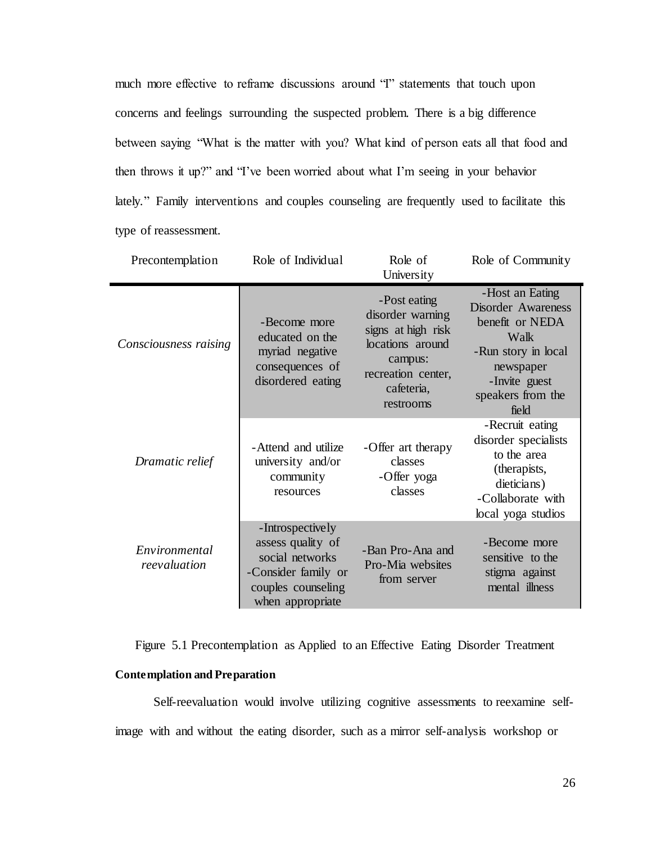much more effective to reframe discussions around "I" statements that touch upon concerns and feelings surrounding the suspected problem. There is a big difference between saying "What is the matter with you? What kind of person eats all that food and then throws it up?" and "I've been worried about what I'm seeing in your behavior lately." Family interventions and couples counseling are frequently used to facilitate this type of reassessment.

| Precontemplation              | Role of Individual                                                                                                        | Role of<br>University                                                                                                                  | Role of Community                                                                                                                                          |
|-------------------------------|---------------------------------------------------------------------------------------------------------------------------|----------------------------------------------------------------------------------------------------------------------------------------|------------------------------------------------------------------------------------------------------------------------------------------------------------|
| Consciousness raising         | -Become more<br>educated on the<br>myriad negative<br>consequences of<br>disordered eating                                | -Post eating<br>disorder warning<br>signs at high risk<br>locations around<br>campus:<br>recreation center,<br>cafeteria,<br>restrooms | -Host an Eating<br><b>Disorder Awareness</b><br>benefit or NEDA<br>Walk<br>-Run story in local<br>newspaper<br>-Invite guest<br>speakers from the<br>field |
| Dramatic relief               | -Attend and utilize<br>university and/or<br>community<br>resources                                                        | -Offer art therapy<br>classes<br>-Offer yoga<br>classes                                                                                | -Recruit eating<br>disorder specialists<br>to the area<br>(therapists,<br>dieticians)<br>-Collaborate with<br>local yoga studios                           |
| Environmental<br>reevaluation | -Introspectively<br>assess quality of<br>social networks<br>-Consider family or<br>couples counseling<br>when appropriate | -Ban Pro-Ana and<br>Pro-Mia websites<br>from server                                                                                    | -Become more<br>sensitive to the<br>stigma against<br>mental illness                                                                                       |

Figure 5.1 Precontemplation as Applied to an Effective Eating Disorder Treatment

#### <span id="page-32-0"></span>**Contemplation and Preparation**

Self-reevaluation would involve utilizing cognitive assessments to reexamine selfimage with and without the eating disorder, such as a mirror self-analysis workshop or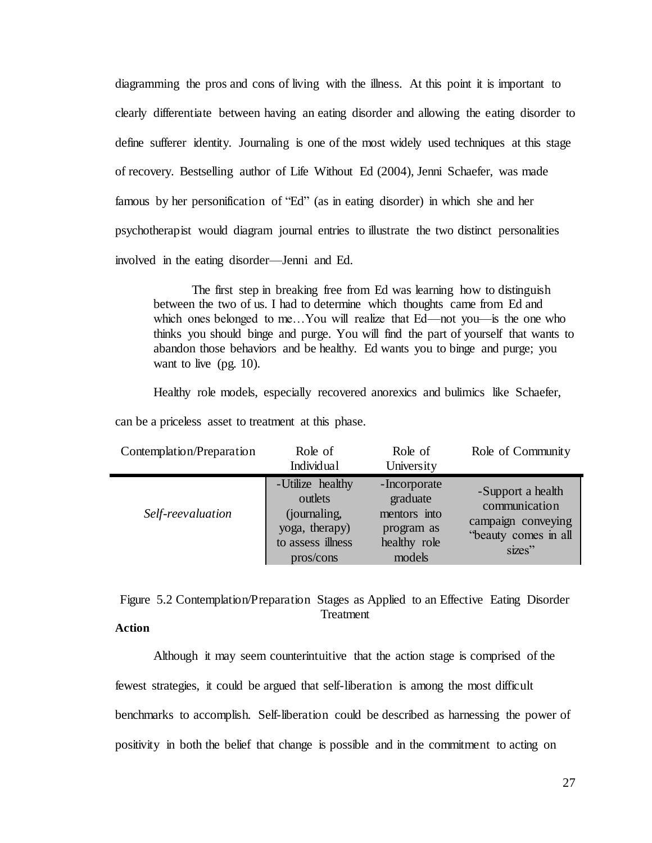diagramming the pros and cons of living with the illness. At this point it is important to clearly differentiate between having an eating disorder and allowing the eating disorder to define sufferer identity. Journaling is one of the most widely used techniques at this stage of recovery. Bestselling author of Life Without Ed (2004), Jenni Schaefer, was made famous by her personification of "Ed" (as in eating disorder) in which she and her psychotherapist would diagram journal entries to illustrate the two distinct personalities involved in the eating disorder—Jenni and Ed.

The first step in breaking free from Ed was learning how to distinguish between the two of us. I had to determine which thoughts came from Ed and which ones belonged to me…You will realize that Ed—not you—is the one who thinks you should binge and purge. You will find the part of yourself that wants to abandon those behaviors and be healthy. Ed wants you to binge and purge; you want to live (pg. 10).

Healthy role models, especially recovered anorexics and bulimics like Schaefer,

| Contemplation/Preparation | Role of<br>Individual                                                              | Role of<br>University                                                  | Role of Community                                                                          |
|---------------------------|------------------------------------------------------------------------------------|------------------------------------------------------------------------|--------------------------------------------------------------------------------------------|
| Self-reevaluation         | -Utilize healthy<br>outlets<br>(journaling,<br>yoga, therapy)<br>to assess illness | -Incorporate<br>graduate<br>mentors into<br>program as<br>healthy role | -Support a health<br>communication<br>campaign conveying<br>"beauty comes in all<br>sizes" |

pros/cons

can be a priceless asset to treatment at this phase.

Figure 5.2 Contemplation/Preparation Stages as Applied to an Effective Eating Disorder Treatment

models

#### <span id="page-33-0"></span>**Action**

Although it may seem counterintuitive that the action stage is comprised of the fewest strategies, it could be argued that self-liberation is among the most difficult benchmarks to accomplish. Self-liberation could be described as harnessing the power of positivity in both the belief that change is possible and in the commitment to acting on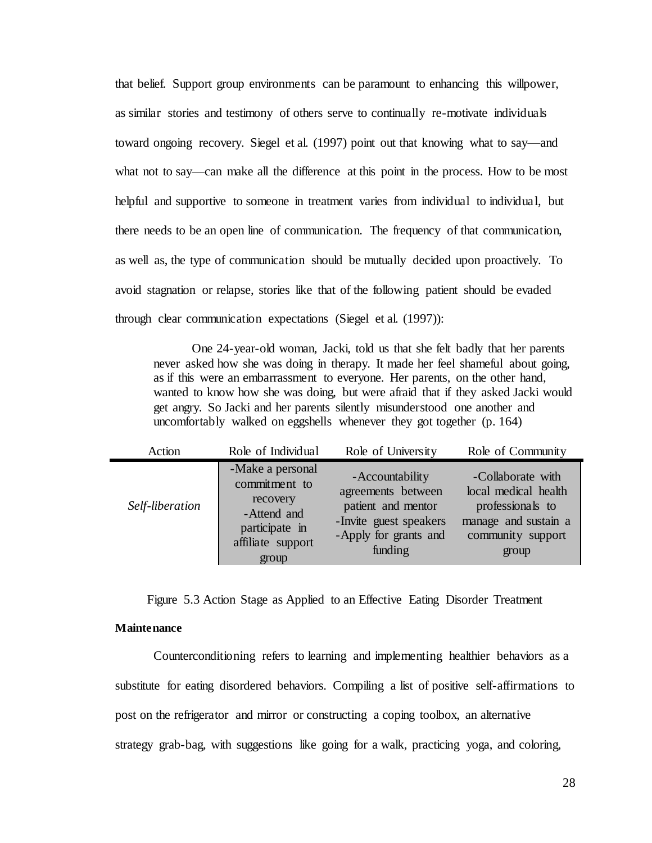that belief. Support group environments can be paramount to enhancing this willpower, as similar stories and testimony of others serve to continually re-motivate individuals toward ongoing recovery. Siegel et al. (1997) point out that knowing what to say—and what not to say—can make all the difference at this point in the process. How to be most helpful and supportive to someone in treatment varies from individual to individual, but there needs to be an open line of communication. The frequency of that communication, as well as, the type of communication should be mutually decided upon proactively. To avoid stagnation or relapse, stories like that of the following patient should be evaded through clear communication expectations (Siegel et al. (1997)):

One 24-year-old woman, Jacki, told us that she felt badly that her parents never asked how she was doing in therapy. It made her feel shameful about going, as if this were an embarrassment to everyone. Her parents, on the other hand, wanted to know how she was doing, but were afraid that if they asked Jacki would get angry. So Jacki and her parents silently misunderstood one another and uncomfortably walked on eggshells whenever they got together (p. 164)

| Action          | Role of Individual                                                                                           | Role of University                                                                                                         | Role of Community                                                                                                   |
|-----------------|--------------------------------------------------------------------------------------------------------------|----------------------------------------------------------------------------------------------------------------------------|---------------------------------------------------------------------------------------------------------------------|
| Self-liberation | -Make a personal<br>commitment to<br>recovery<br>-Attend and<br>participate in<br>affiliate support<br>group | - Accountability<br>agreements between<br>patient and mentor<br>-Invite guest speakers<br>-Apply for grants and<br>funding | -Collaborate with<br>local medical health<br>professionals to<br>manage and sustain a<br>community support<br>group |

Figure 5.3 Action Stage as Applied to an Effective Eating Disorder Treatment

#### <span id="page-34-0"></span>**Maintenance**

 $\blacksquare$ 

Counterconditioning refers to learning and implementing healthier behaviors as a substitute for eating disordered behaviors. Compiling a list of positive self-affirmations to post on the refrigerator and mirror or constructing a coping toolbox, an alternative strategy grab-bag, with suggestions like going for a walk, practicing yoga, and coloring,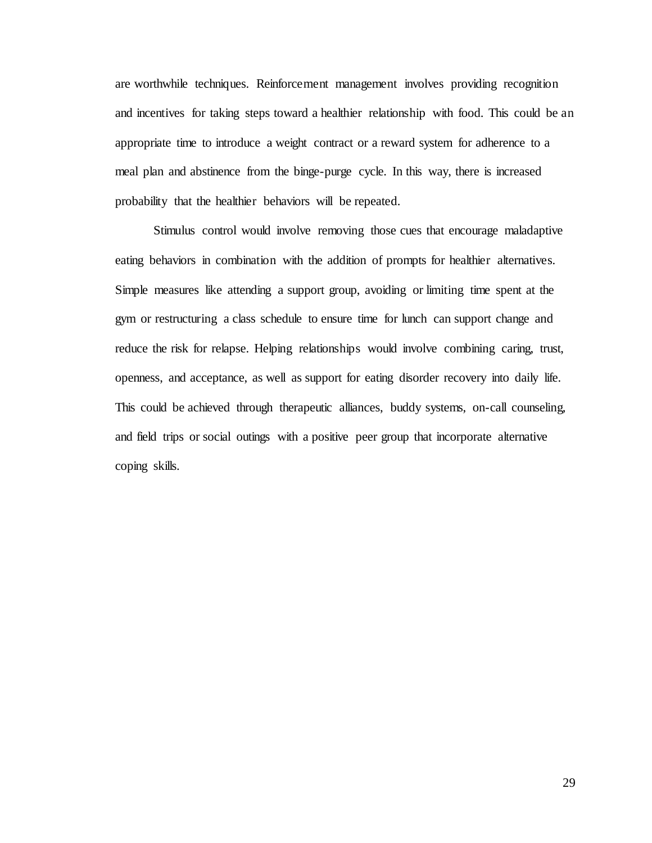are worthwhile techniques. Reinforcement management involves providing recognition and incentives for taking steps toward a healthier relationship with food. This could be an appropriate time to introduce a weight contract or a reward system for adherence to a meal plan and abstinence from the binge-purge cycle. In this way, there is increased probability that the healthier behaviors will be repeated.

Stimulus control would involve removing those cues that encourage maladaptive eating behaviors in combination with the addition of prompts for healthier alternatives. Simple measures like attending a support group, avoiding or limiting time spent at the gym or restructuring a class schedule to ensure time for lunch can support change and reduce the risk for relapse. Helping relationships would involve combining caring, trust, openness, and acceptance, as well as support for eating disorder recovery into daily life. This could be achieved through therapeutic alliances, buddy systems, on-call counseling, and field trips or social outings with a positive peer group that incorporate alternative coping skills.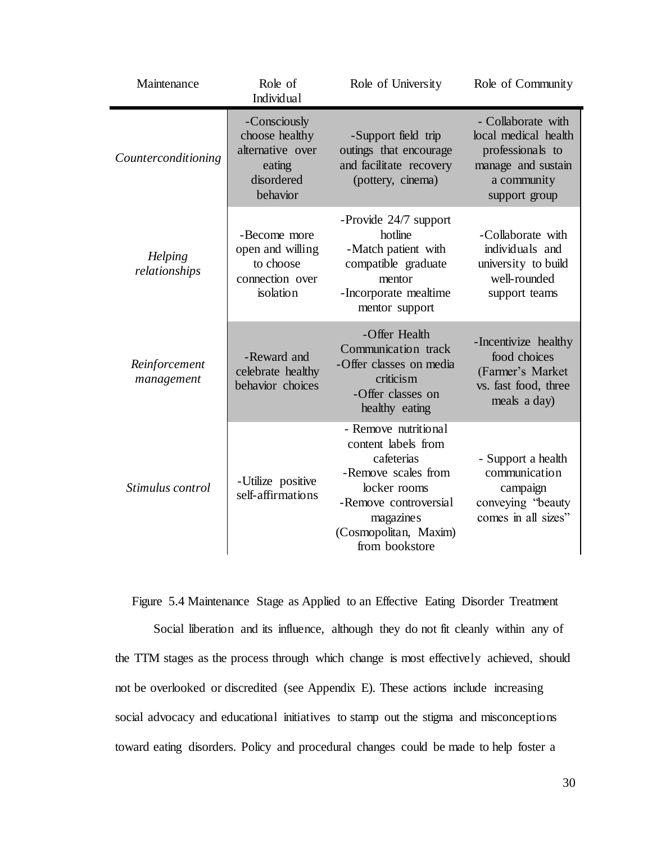| Maintenance                 | Role of<br>Individual                                                                  | Role of University                                                                                                                                                                | Role of Community                                                                                                    |
|-----------------------------|----------------------------------------------------------------------------------------|-----------------------------------------------------------------------------------------------------------------------------------------------------------------------------------|----------------------------------------------------------------------------------------------------------------------|
| Counterconditioning         | -Consciously<br>choose healthy<br>alternative over<br>eating<br>disordered<br>behavior | -Support field trip<br>outings that encourage<br>and facilitate recovery<br>(pottery, cinema)                                                                                     | - Collaborate with<br>local medical health<br>professionals to<br>manage and sustain<br>a community<br>support group |
| Helping<br>relationships    | -Become more<br>open and willing<br>to choose<br>connection over<br>isolation          | -Provide 24/7 support<br>hotline<br>-Match patient with<br>compatible graduate<br>mentor<br>-Incorporate mealtime<br>mentor support                                               | -Collaborate with<br>individuals and<br>university to build<br>well-rounded<br>support teams                         |
| Reinforcement<br>management | -Reward and<br>celebrate healthy<br>behavior choices                                   | -Offer Health<br>Communication track<br>-Offer classes on media<br>criticism<br>-Offer classes on<br>healthy eating                                                               | -Incentivize healthy<br>food choices<br>(Farmer's Market<br>vs. fast food, three<br>meals a day)                     |
| Stimulus control            | -Utilize positive<br>self-affirmations                                                 | - Remove nutritional<br>content labels from<br>cafeterias<br>-Remove scales from<br>locker rooms<br>-Remove controversial<br>magazines<br>(Cosmopolitan, Maxim)<br>from bookstore | - Support a health<br>communication<br>campaign<br>conveying "beauty<br>comes in all sizes"                          |

Figure 5.4 Maintenance Stage as Applied to an Effective Eating Disorder Treatment

Social liberation and its influence, although they do not fit cleanly within any of the TTM stages as the process through which change is most effectively achieved, should not be overlooked or discredited (see Appendix E). These actions include increasing social advocacy and educational initiatives to stamp out the stigma and misconceptions toward eating disorders. Policy and procedural changes could be made to help foster a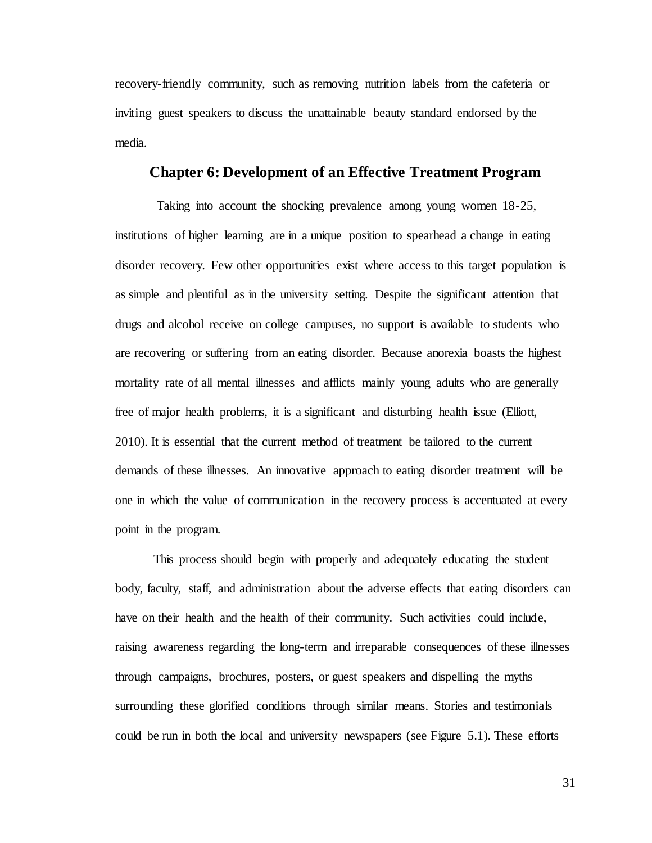recovery-friendly community, such as removing nutrition labels from the cafeteria or inviting guest speakers to discuss the unattainable beauty standard endorsed by the media.

#### **Chapter 6: Development of an Effective Treatment Program**

<span id="page-37-0"></span>Taking into account the shocking prevalence among young women 18-25, institutions of higher learning are in a unique position to spearhead a change in eating disorder recovery. Few other opportunities exist where access to this target population is as simple and plentiful as in the university setting. Despite the significant attention that drugs and alcohol receive on college campuses, no support is available to students who are recovering or suffering from an eating disorder. Because anorexia boasts the highest mortality rate of all mental illnesses and afflicts mainly young adults who are generally free of major health problems, it is a significant and disturbing health issue (Elliott, 2010). It is essential that the current method of treatment be tailored to the current demands of these illnesses. An innovative approach to eating disorder treatment will be one in which the value of communication in the recovery process is accentuated at every point in the program.

This process should begin with properly and adequately educating the student body, faculty, staff, and administration about the adverse effects that eating disorders can have on their health and the health of their community. Such activities could include, raising awareness regarding the long-term and irreparable consequences of these illnesses through campaigns, brochures, posters, or guest speakers and dispelling the myths surrounding these glorified conditions through similar means. Stories and testimonials could be run in both the local and university newspapers (see Figure 5.1). These efforts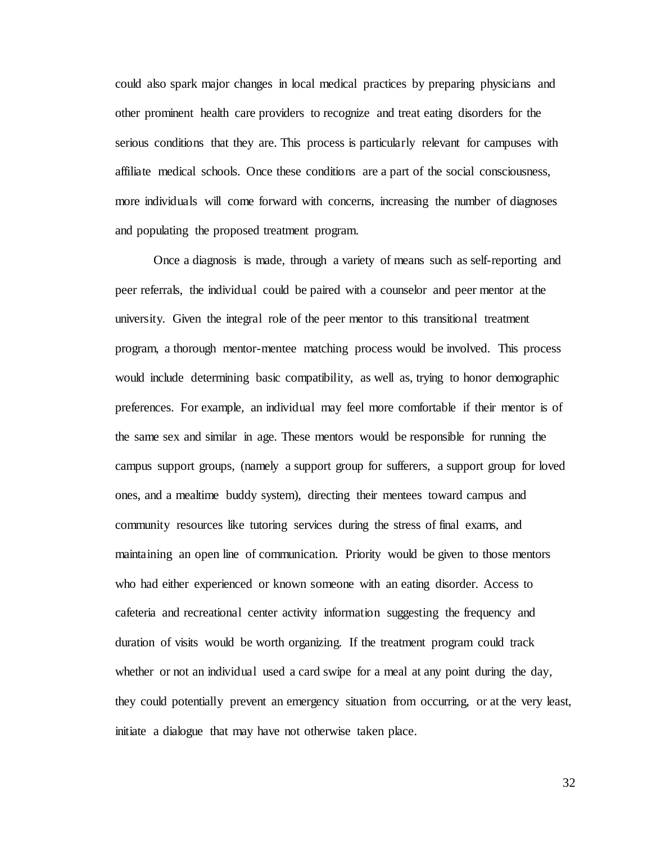could also spark major changes in local medical practices by preparing physicians and other prominent health care providers to recognize and treat eating disorders for the serious conditions that they are. This process is particularly relevant for campuses with affiliate medical schools. Once these conditions are a part of the social consciousness, more individuals will come forward with concerns, increasing the number of diagnoses and populating the proposed treatment program.

Once a diagnosis is made, through a variety of means such as self-reporting and peer referrals, the individual could be paired with a counselor and peer mentor at the university. Given the integral role of the peer mentor to this transitional treatment program, a thorough mentor-mentee matching process would be involved. This process would include determining basic compatibility, as well as, trying to honor demographic preferences. For example, an individual may feel more comfortable if their mentor is of the same sex and similar in age. These mentors would be responsible for running the campus support groups, (namely a support group for sufferers, a support group for loved ones, and a mealtime buddy system), directing their mentees toward campus and community resources like tutoring services during the stress of final exams, and maintaining an open line of communication. Priority would be given to those mentors who had either experienced or known someone with an eating disorder. Access to cafeteria and recreational center activity information suggesting the frequency and duration of visits would be worth organizing. If the treatment program could track whether or not an individual used a card swipe for a meal at any point during the day, they could potentially prevent an emergency situation from occurring, or at the very least, initiate a dialogue that may have not otherwise taken place.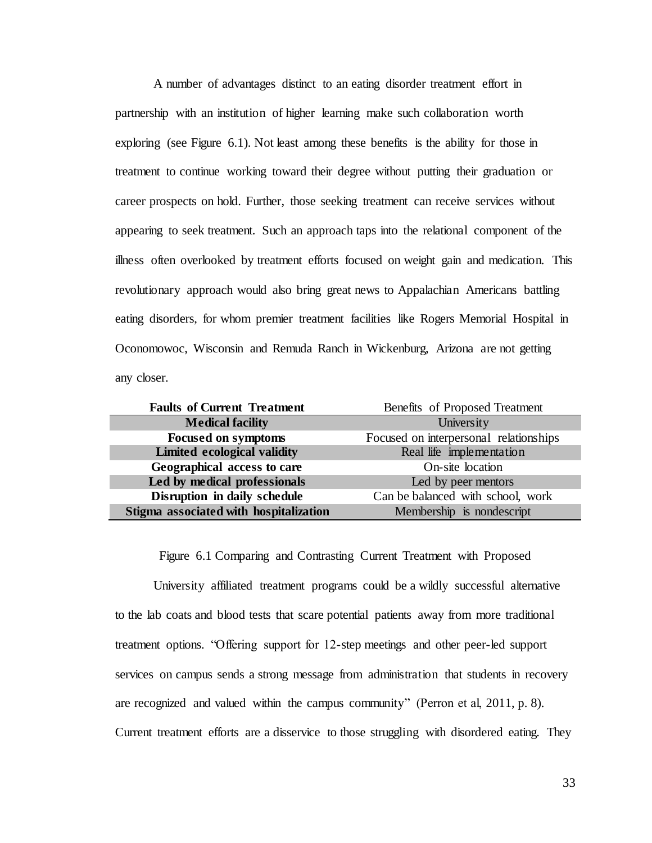A number of advantages distinct to an eating disorder treatment effort in partnership with an institution of higher learning make such collaboration worth exploring (see Figure 6.1). Not least among these benefits is the ability for those in treatment to continue working toward their degree without putting their graduation or career prospects on hold. Further, those seeking treatment can receive services without appearing to seek treatment. Such an approach taps into the relational component of the illness often overlooked by treatment efforts focused on weight gain and medication. This revolutionary approach would also bring great news to Appalachian Americans battling eating disorders, for whom premier treatment facilities like Rogers Memorial Hospital in Oconomowoc, Wisconsin and Remuda Ranch in Wickenburg, Arizona are not getting any closer.

| <b>Faults of Current Treatment</b>     | Benefits of Proposed Treatment         |  |  |
|----------------------------------------|----------------------------------------|--|--|
| <b>Medical facility</b>                | University                             |  |  |
| <b>Focused on symptoms</b>             | Focused on interpersonal relationships |  |  |
| Limited ecological validity            | Real life implementation               |  |  |
| Geographical access to care            | On-site location                       |  |  |
| Led by medical professionals           | Led by peer mentors                    |  |  |
| Disruption in daily schedule           | Can be balanced with school, work      |  |  |
| Stigma associated with hospitalization | Membership is nondescript              |  |  |

Figure 6.1 Comparing and Contrasting Current Treatment with Proposed

University affiliated treatment programs could be a wildly successful alternative to the lab coats and blood tests that scare potential patients away from more traditional treatment options. "Offering support for 12-step meetings and other peer-led support services on campus sends a strong message from administration that students in recovery are recognized and valued within the campus community" (Perron et al, 2011, p. 8). Current treatment efforts are a disservice to those struggling with disordered eating. They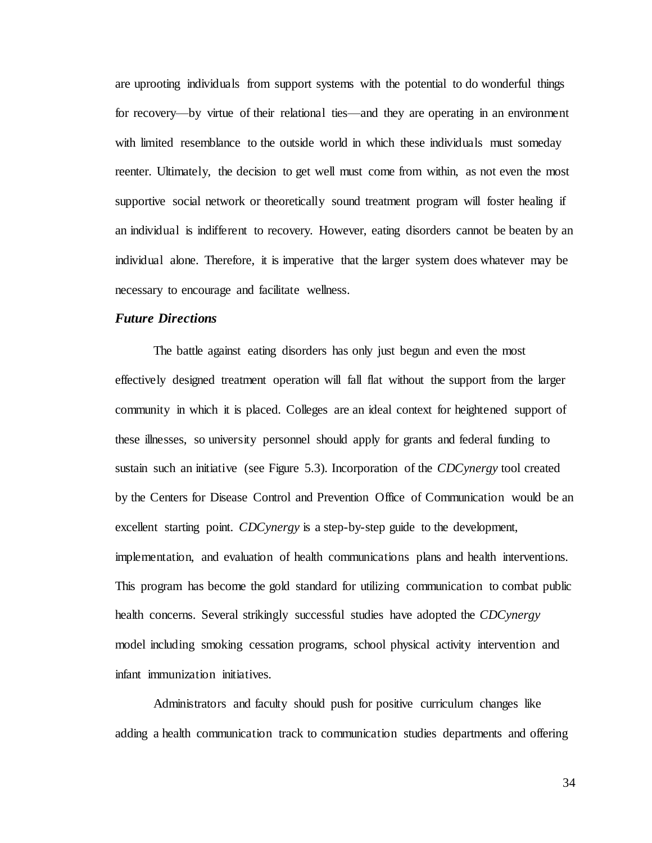are uprooting individuals from support systems with the potential to do wonderful things for recovery—by virtue of their relational ties—and they are operating in an environment with limited resemblance to the outside world in which these individuals must someday reenter. Ultimately, the decision to get well must come from within, as not even the most supportive social network or theoretically sound treatment program will foster healing if an individual is indifferent to recovery. However, eating disorders cannot be beaten by an individual alone. Therefore, it is imperative that the larger system does whatever may be necessary to encourage and facilitate wellness.

#### <span id="page-40-0"></span>*Future Directions*

The battle against eating disorders has only just begun and even the most effectively designed treatment operation will fall flat without the support from the larger community in which it is placed. Colleges are an ideal context for heightened support of these illnesses, so university personnel should apply for grants and federal funding to sustain such an initiative (see Figure 5.3). Incorporation of the *CDCynergy* tool created by the Centers for Disease Control and Prevention Office of Communication would be an excellent starting point. *CDCynergy* is a step-by-step guide to the development, implementation, and evaluation of health communications plans and health interventions. This program has become the gold standard for utilizing communication to combat public health concerns. Several strikingly successful studies have adopted the *CDCynergy* model including smoking cessation programs, school physical activity intervention and infant immunization initiatives.

Administrators and faculty should push for positive curriculum changes like adding a health communication track to communication studies departments and offering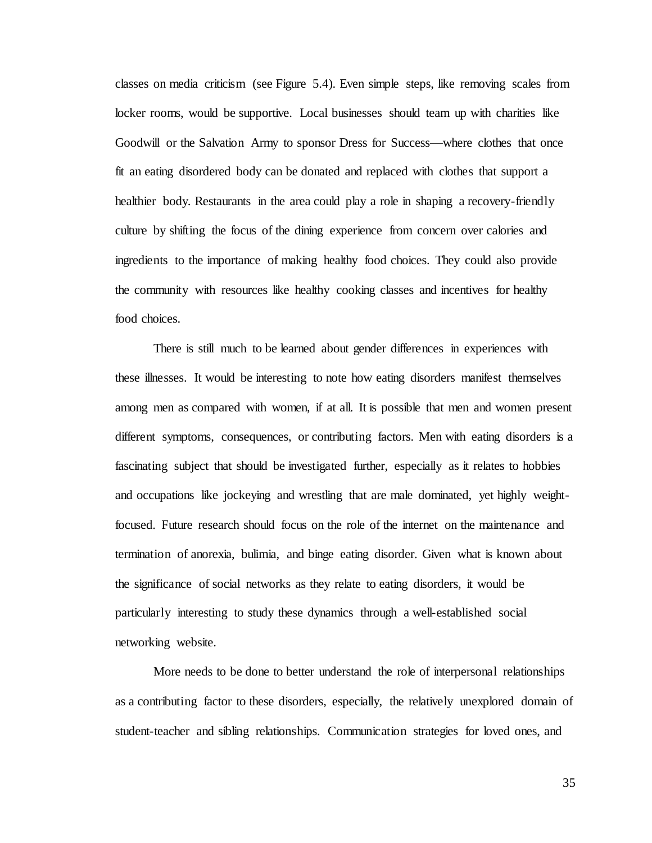classes on media criticism (see Figure 5.4). Even simple steps, like removing scales from locker rooms, would be supportive. Local businesses should team up with charities like Goodwill or the Salvation Army to sponsor Dress for Success—where clothes that once fit an eating disordered body can be donated and replaced with clothes that support a healthier body. Restaurants in the area could play a role in shaping a recovery-friendly culture by shifting the focus of the dining experience from concern over calories and ingredients to the importance of making healthy food choices. They could also provide the community with resources like healthy cooking classes and incentives for healthy food choices.

There is still much to be learned about gender differences in experiences with these illnesses. It would be interesting to note how eating disorders manifest themselves among men as compared with women, if at all. It is possible that men and women present different symptoms, consequences, or contributing factors. Men with eating disorders is a fascinating subject that should be investigated further, especially as it relates to hobbies and occupations like jockeying and wrestling that are male dominated, yet highly weightfocused. Future research should focus on the role of the internet on the maintenance and termination of anorexia, bulimia, and binge eating disorder. Given what is known about the significance of social networks as they relate to eating disorders, it would be particularly interesting to study these dynamics through a well-established social networking website.

More needs to be done to better understand the role of interpersonal relationships as a contributing factor to these disorders, especially, the relatively unexplored domain of student-teacher and sibling relationships. Communication strategies for loved ones, and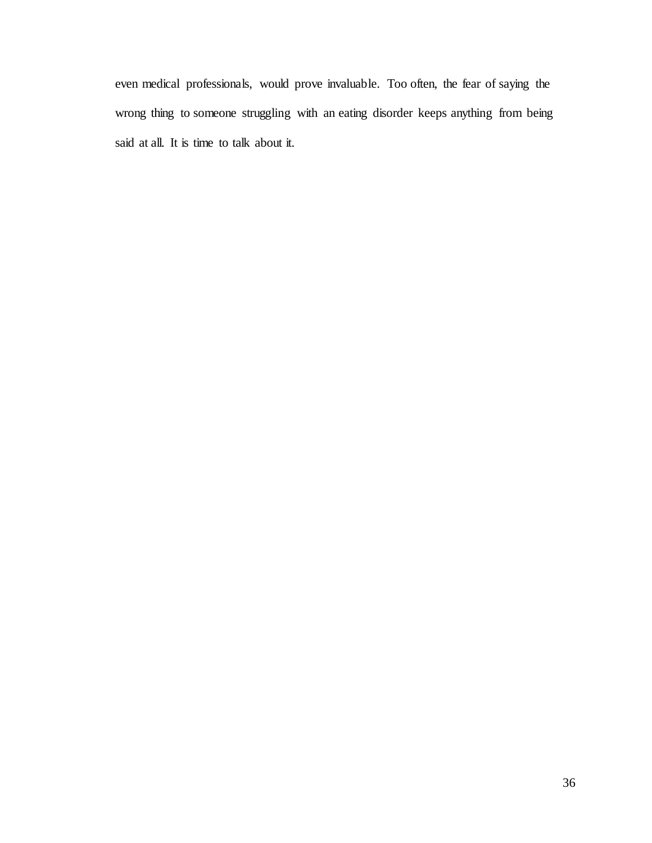<span id="page-42-0"></span>even medical professionals, would prove invaluable. Too often, the fear of saying the wrong thing to someone struggling with an eating disorder keeps anything from being said at all. It is time to talk about it.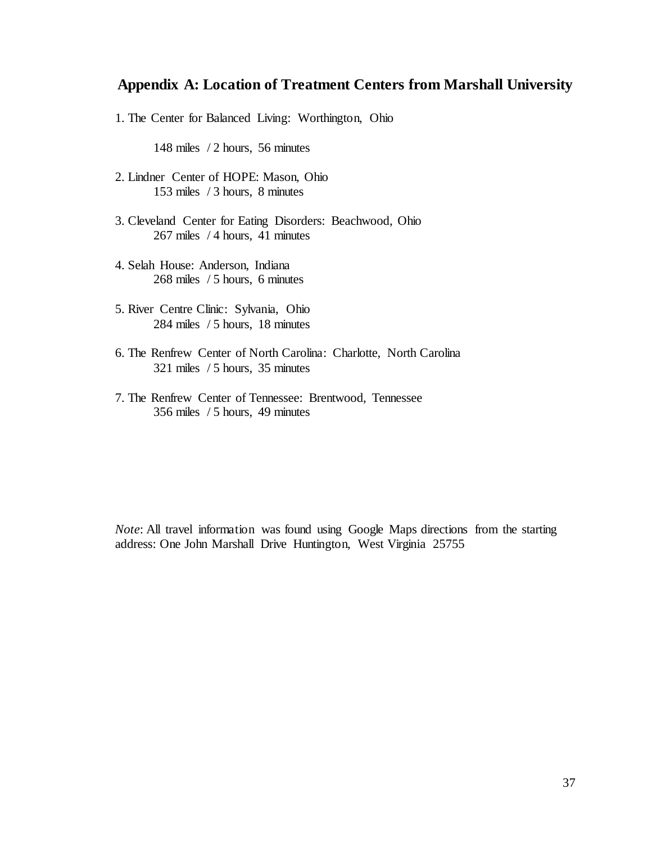### **Appendix A: Location of Treatment Centers from Marshall University**

1. The Center for Balanced Living: Worthington, Ohio

148 miles / 2 hours, 56 minutes

- 2. Lindner Center of HOPE: Mason, Ohio 153 miles / 3 hours, 8 minutes
- 3. Cleveland Center for Eating Disorders: Beachwood, Ohio 267 miles / 4 hours, 41 minutes
- 4. Selah House: Anderson, Indiana 268 miles / 5 hours, 6 minutes
- 5. River Centre Clinic: Sylvania, Ohio 284 miles / 5 hours, 18 minutes
- 6. The Renfrew Center of North Carolina: Charlotte, North Carolina 321 miles / 5 hours, 35 minutes
- 7. The Renfrew Center of Tennessee: Brentwood, Tennessee 356 miles / 5 hours, 49 minutes

*Note*: All travel information was found using Google Maps directions from the starting address: One John Marshall Drive Huntington, West Virginia 25755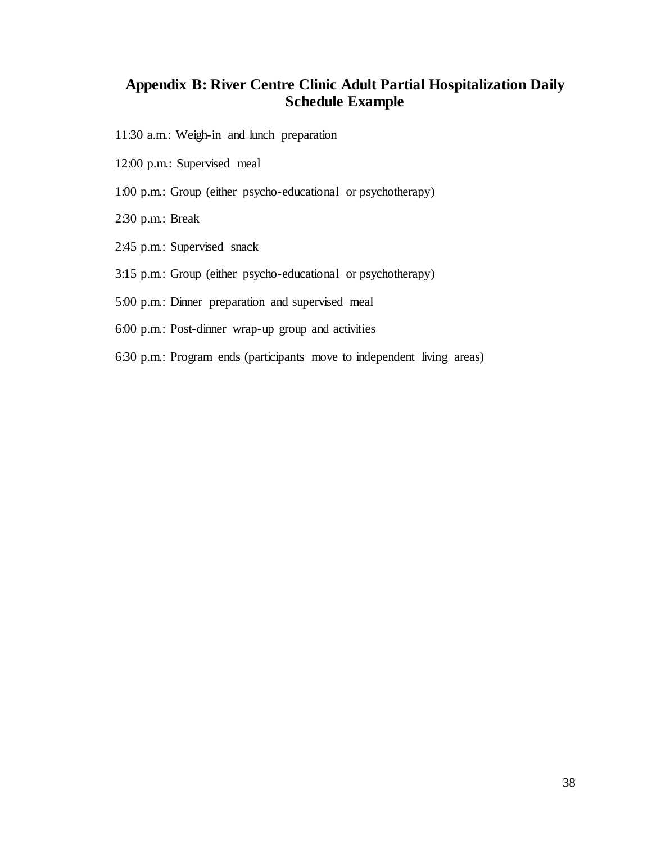## <span id="page-44-0"></span>**Appendix B: River Centre Clinic Adult Partial Hospitalization Daily Schedule Example**

- 11:30 a.m.: Weigh-in and lunch preparation
- 12:00 p.m.: Supervised meal
- 1:00 p.m.: Group (either psycho-educational or psychotherapy)
- 2:30 p.m.: Break
- 2:45 p.m.: Supervised snack
- 3:15 p.m.: Group (either psycho-educational or psychotherapy)
- 5:00 p.m.: Dinner preparation and supervised meal
- 6:00 p.m.: Post-dinner wrap-up group and activities
- 6:30 p.m.: Program ends (participants move to independent living areas)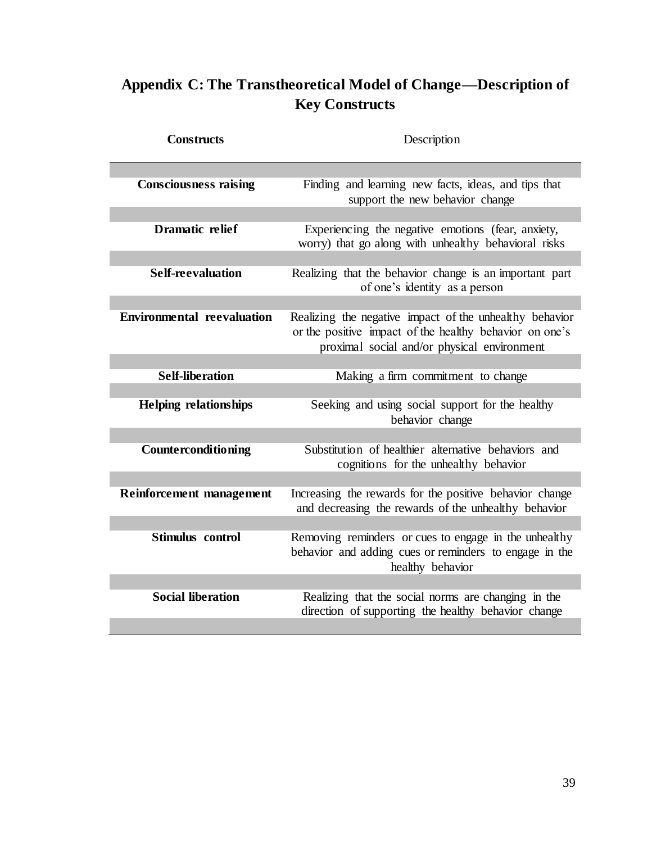# <span id="page-45-0"></span>**Appendix C: The Transtheoretical Model of Change—Description of Key Constructs**

| <b>Constructs</b>                 | Description                                                                                                                                                       |
|-----------------------------------|-------------------------------------------------------------------------------------------------------------------------------------------------------------------|
|                                   |                                                                                                                                                                   |
| <b>Consciousness raising</b>      | Finding and learning new facts, ideas, and tips that<br>support the new behavior change                                                                           |
|                                   |                                                                                                                                                                   |
| <b>Dramatic relief</b>            | Experiencing the negative emotions (fear, anxiety,<br>worry) that go along with unhealthy behavioral risks                                                        |
|                                   |                                                                                                                                                                   |
| <b>Self-reevaluation</b>          | Realizing that the behavior change is an important part<br>of one's identity as a person                                                                          |
|                                   |                                                                                                                                                                   |
| <b>Environmental reevaluation</b> | Realizing the negative impact of the unhealthy behavior<br>or the positive impact of the healthy behavior on one's<br>proximal social and/or physical environment |
|                                   |                                                                                                                                                                   |
| <b>Self-liberation</b>            | Making a firm commitment to change                                                                                                                                |
|                                   |                                                                                                                                                                   |
| <b>Helping relationships</b>      | Seeking and using social support for the healthy<br>behavior change                                                                                               |
|                                   |                                                                                                                                                                   |
| Counterconditioning               | Substitution of healthier alternative behaviors and<br>cognitions for the unhealthy behavior                                                                      |
|                                   |                                                                                                                                                                   |
| <b>Reinforcement management</b>   | Increasing the rewards for the positive behavior change<br>and decreasing the rewards of the unhealthy behavior                                                   |
|                                   |                                                                                                                                                                   |
| Stimulus control                  | Removing reminders or cues to engage in the unhealthy<br>behavior and adding cues or reminders to engage in the<br>healthy behavior                               |
|                                   |                                                                                                                                                                   |
| <b>Social liberation</b>          | Realizing that the social norms are changing in the<br>direction of supporting the healthy behavior change                                                        |
|                                   |                                                                                                                                                                   |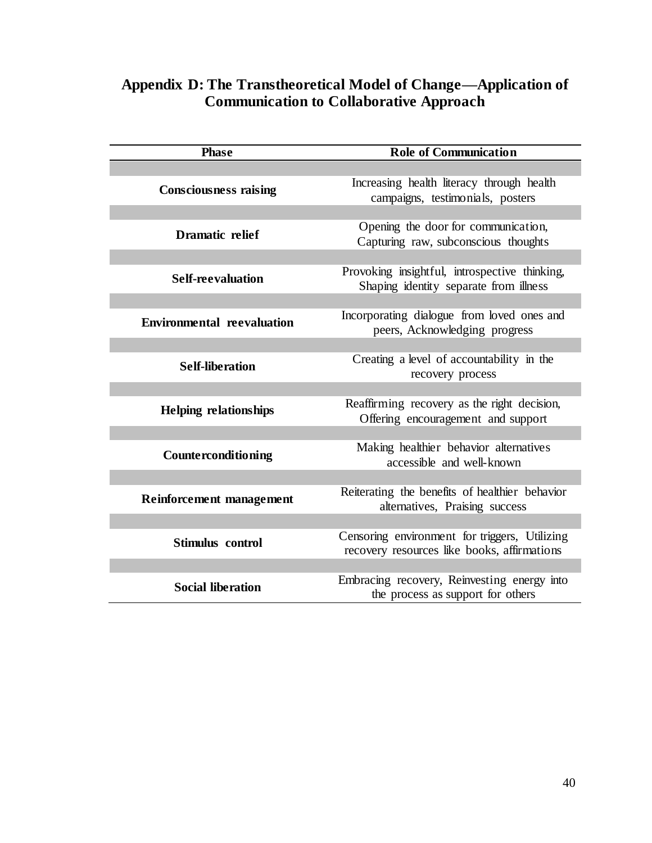<span id="page-46-0"></span>

| Appendix D: The Transtheoretical Model of Change—Application of |  |
|-----------------------------------------------------------------|--|
| <b>Communication to Collaborative Approach</b>                  |  |

| <b>Phase</b>                      | <b>Role of Communication</b>                                                                 |
|-----------------------------------|----------------------------------------------------------------------------------------------|
|                                   |                                                                                              |
| <b>Consciousness raising</b>      | Increasing health literacy through health<br>campaigns, testimonials, posters                |
| <b>Dramatic relief</b>            | Opening the door for communication,<br>Capturing raw, subconscious thoughts                  |
| <b>Self-reevaluation</b>          | Provoking insightful, introspective thinking,<br>Shaping identity separate from illness      |
| <b>Environmental reevaluation</b> | Incorporating dialogue from loved ones and<br>peers, Acknowledging progress                  |
|                                   |                                                                                              |
| <b>Self-liberation</b>            | Creating a level of accountability in the<br>recovery process                                |
|                                   |                                                                                              |
| <b>Helping relationships</b>      | Reaffirming recovery as the right decision,<br>Offering encouragement and support            |
|                                   |                                                                                              |
| Counterconditioning               | Making healthier behavior alternatives<br>accessible and well-known                          |
|                                   |                                                                                              |
| <b>Reinforcement management</b>   | Reiterating the benefits of healthier behavior<br>alternatives, Praising success             |
|                                   |                                                                                              |
| Stimulus control                  | Censoring environment for triggers, Utilizing<br>recovery resources like books, affirmations |
|                                   |                                                                                              |
| <b>Social liberation</b>          | Embracing recovery, Reinvesting energy into<br>the process as support for others             |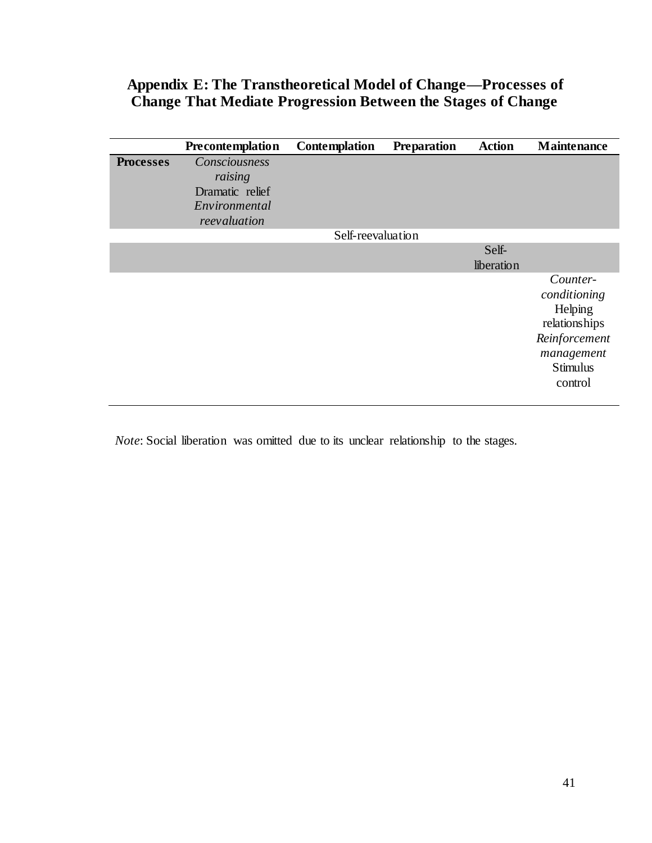## <span id="page-47-0"></span>**Appendix E: The Transtheoretical Model of Change—Processes of Change That Mediate Progression Between the Stages of Change**

|                  | Precontemplation                                                             | <b>Contemplation</b> | <b>Preparation</b> | <b>Action</b>       | <b>Maintenance</b>                                                                                                |
|------------------|------------------------------------------------------------------------------|----------------------|--------------------|---------------------|-------------------------------------------------------------------------------------------------------------------|
| <b>Processes</b> | Consciousness<br>raising<br>Dramatic relief<br>Environmental<br>reevaluation |                      |                    |                     |                                                                                                                   |
|                  |                                                                              | Self-reevaluation    |                    |                     |                                                                                                                   |
|                  |                                                                              |                      |                    | Self-<br>liberation |                                                                                                                   |
|                  |                                                                              |                      |                    |                     | Counter-<br>conditioning<br>Helping<br>relationships<br>Reinforcement<br>management<br><b>Stimulus</b><br>control |

*Note*: Social liberation was omitted due to its unclear relationship to the stages.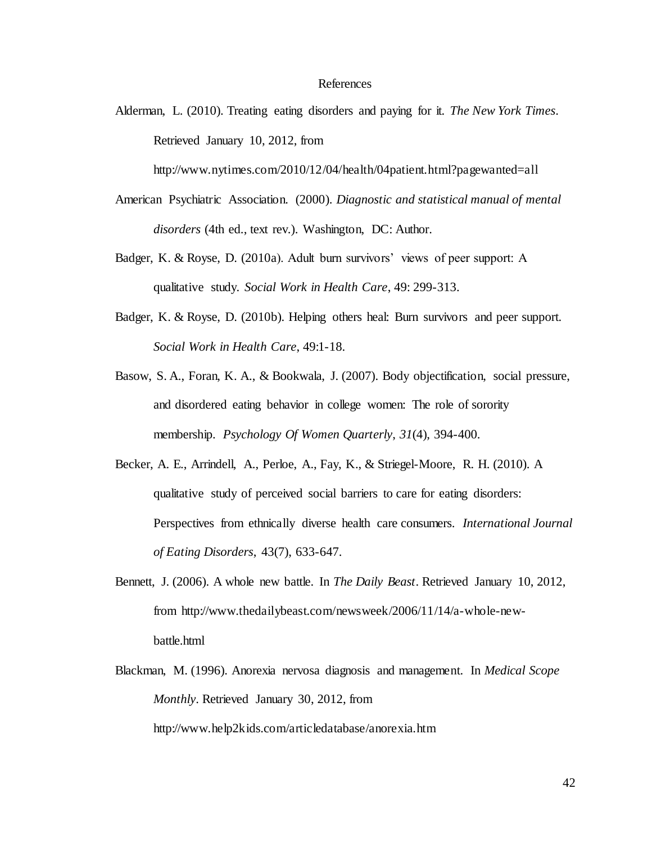#### References

Alderman, L. (2010). Treating eating disorders and paying for it. *The New York Times*. Retrieved January 10, 2012, from

http://www.nytimes.com/2010/12/04/health/04patient.html?pagewanted=all

- American Psychiatric Association. (2000). *Diagnostic and statistical manual of mental disorders* (4th ed., text rev.). Washington, DC: Author.
- Badger, K. & Royse, D. (2010a). Adult burn survivors' views of peer support: A qualitative study. *Social Work in Health Care*, 49: 299-313.
- Badger, K. & Royse, D. (2010b). Helping others heal: Burn survivors and peer support. *Social Work in Health Care*, 49:1-18.
- Basow, S. A., Foran, K. A., & Bookwala, J. (2007). Body objectification, social pressure, and disordered eating behavior in college women: The role of sorority membership. *Psychology Of Women Quarterly*, *31*(4), 394-400.
- Becker, A. E., Arrindell, A., Perloe, A., Fay, K., & Striegel-Moore, R. H. (2010). A qualitative study of perceived social barriers to care for eating disorders: Perspectives from ethnically diverse health care consumers. *International Journal of Eating Disorders*, 43(7), 633-647.
- Bennett, J. (2006). A whole new battle. In *The Daily Beast*. Retrieved January 10, 2012, from http://www.thedailybeast.com/newsweek/2006/11/14/a-whole-newbattle.html
- Blackman, M. (1996). Anorexia nervosa diagnosis and management. In *Medical Scope Monthly*. Retrieved January 30, 2012, from

http://www.help2kids.com/articledatabase/anorexia.htm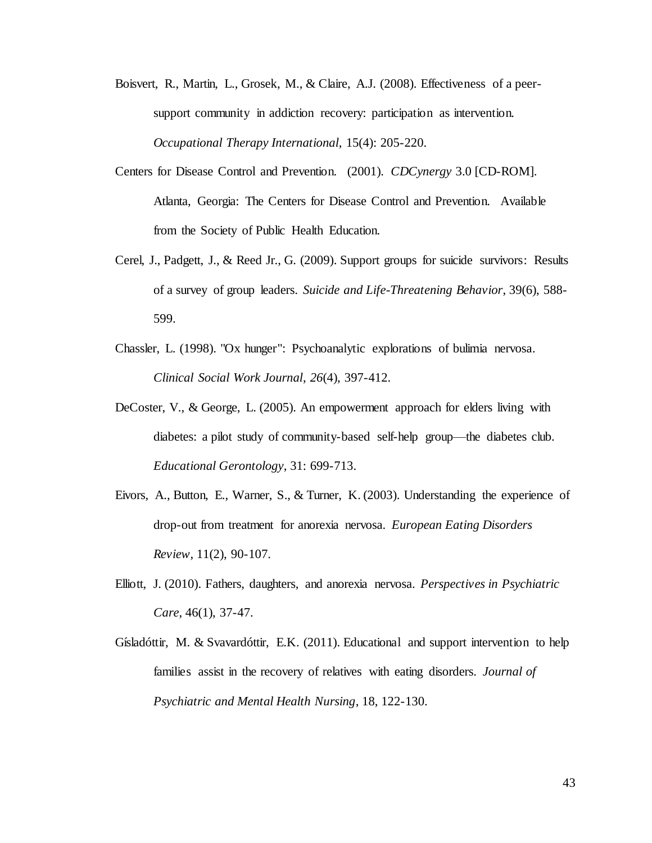- Boisvert, R., Martin, L., Grosek, M., & Claire, A.J. (2008). Effectiveness of a peersupport community in addiction recovery: participation as intervention. *Occupational Therapy International*, 15(4): 205-220.
- Centers for Disease Control and Prevention. (2001). *CDCynergy* 3.0 [CD-ROM]. Atlanta, Georgia: The Centers for Disease Control and Prevention. Available from the Society of Public Health Education.
- Cerel, J., Padgett, J., & Reed Jr., G. (2009). Support groups for suicide survivors: Results of a survey of group leaders. *Suicide and Life-Threatening Behavior*, 39(6), 588- 599.
- Chassler, L. (1998). "Ox hunger": Psychoanalytic explorations of bulimia nervosa. *Clinical Social Work Journal*, *26*(4), 397-412.
- DeCoster, V., & George, L. (2005). An empowerment approach for elders living with diabetes: a pilot study of community-based self-help group—the diabetes club. *Educational Gerontology*, 31: 699-713.
- Eivors, A., Button, E., Warner, S., & Turner, K. (2003). Understanding the experience of drop-out from treatment for anorexia nervosa. *European Eating Disorders Review*, 11(2), 90-107.
- Elliott, J. (2010). Fathers, daughters, and anorexia nervosa. *Perspectives in Psychiatric Care*, 46(1), 37-47.
- Gísladóttir, M. & Svavardóttir, E.K. (2011). Educational and support intervention to help families assist in the recovery of relatives with eating disorders. *Journal of Psychiatric and Mental Health Nursing*, 18, 122-130.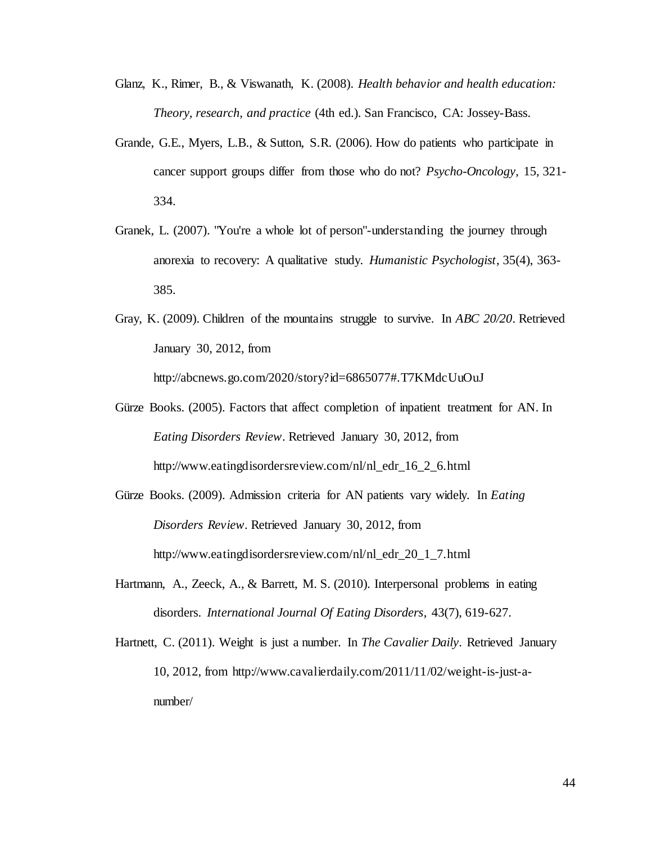- Glanz, K., Rimer, B., & Viswanath, K. (2008). *Health behavior and health education: Theory, research, and practice* (4th ed.). San Francisco, CA: Jossey-Bass.
- Grande, G.E., Myers, L.B., & Sutton, S.R. (2006). How do patients who participate in cancer support groups differ from those who do not? *Psycho-Oncology*, 15, 321- 334.
- Granek, L. (2007). "You're a whole lot of person"-understanding the journey through anorexia to recovery: A qualitative study. *Humanistic Psychologist*, 35(4), 363- 385.
- Gray, K. (2009). Children of the mountains struggle to survive. In *ABC 20/20*. Retrieved January 30, 2012, from

http://abcnews.go.com/2020/story?id=6865077#.T7KMdcUuOuJ

- Gürze Books. (2005). Factors that affect completion of inpatient treatment for AN. In *Eating Disorders Review*. Retrieved January 30, 2012, from http://www.eatingdisordersreview.com/nl/nl\_edr\_16\_2\_6.html
- Gürze Books. (2009). Admission criteria for AN patients vary widely. In *Eating Disorders Review*. Retrieved January 30, 2012, from http://www.eatingdisordersreview.com/nl/nl\_edr\_20\_1\_7.html
- Hartmann, A., Zeeck, A., & Barrett, M. S. (2010). Interpersonal problems in eating disorders. *International Journal Of Eating Disorders*, 43(7), 619-627.
- Hartnett, C. (2011). Weight is just a number. In *The Cavalier Daily*. Retrieved January 10, 2012, from http://www.cavalierdaily.com/2011/11/02/weight-is-just-anumber/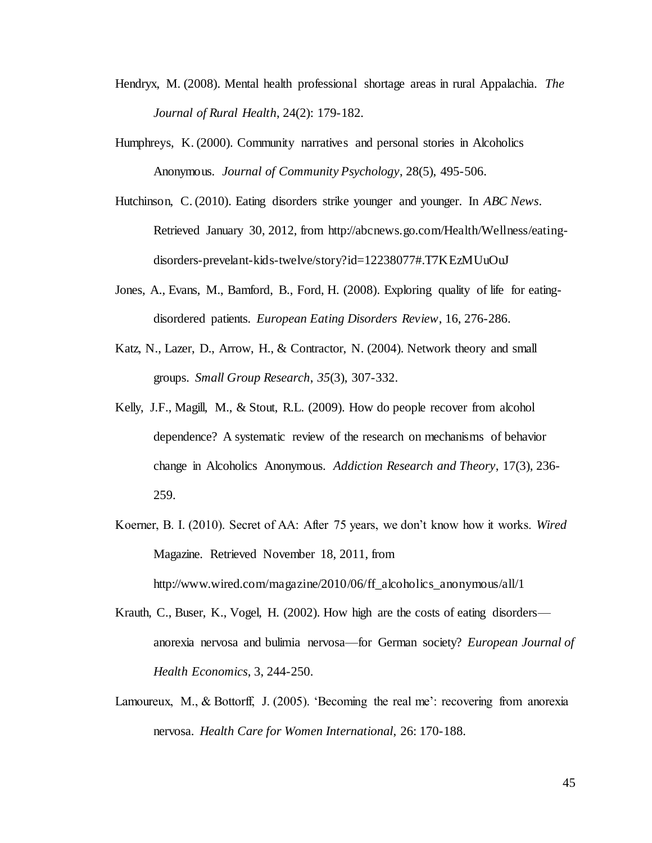- Hendryx, M. (2008). Mental health professional shortage areas in rural Appalachia. *The Journal of Rural Health*, 24(2): 179-182.
- Humphreys, K. (2000). Community narratives and personal stories in Alcoholics Anonymous. *Journal of Community Psychology*, 28(5), 495-506.
- Hutchinson, C. (2010). Eating disorders strike younger and younger. In *ABC News*. Retrieved January 30, 2012, from http://abcnews.go.com/Health/Wellness/eatingdisorders-prevelant-kids-twelve/story?id=12238077#.T7KEzMUuOuJ
- Jones, A., Evans, M., Bamford, B., Ford, H. (2008). Exploring quality of life for eatingdisordered patients. *European Eating Disorders Review*, 16, 276-286.
- Katz, N., Lazer, D., Arrow, H., & Contractor, N. (2004). Network theory and small groups. *Small Group Research*, *35*(3), 307-332.
- Kelly, J.F., Magill, M., & Stout, R.L. (2009). How do people recover from alcohol dependence? A systematic review of the research on mechanisms of behavior change in Alcoholics Anonymous. *Addiction Research and Theory*, 17(3), 236- 259.
- Koerner, B. I. (2010). Secret of AA: After 75 years, we don't know how it works. *Wired* Magazine. Retrieved November 18, 2011, from http://www.wired.com/magazine/2010/06/ff\_alcoholics\_anonymous/all/1
- Krauth, C., Buser, K., Vogel, H. (2002). How high are the costs of eating disorders anorexia nervosa and bulimia nervosa—for German society? *European Journal of Health Economics*, 3, 244-250.
- Lamoureux, M., & Bottorff, J. (2005). 'Becoming the real me': recovering from anorexia nervosa. *Health Care for Women International*, 26: 170-188.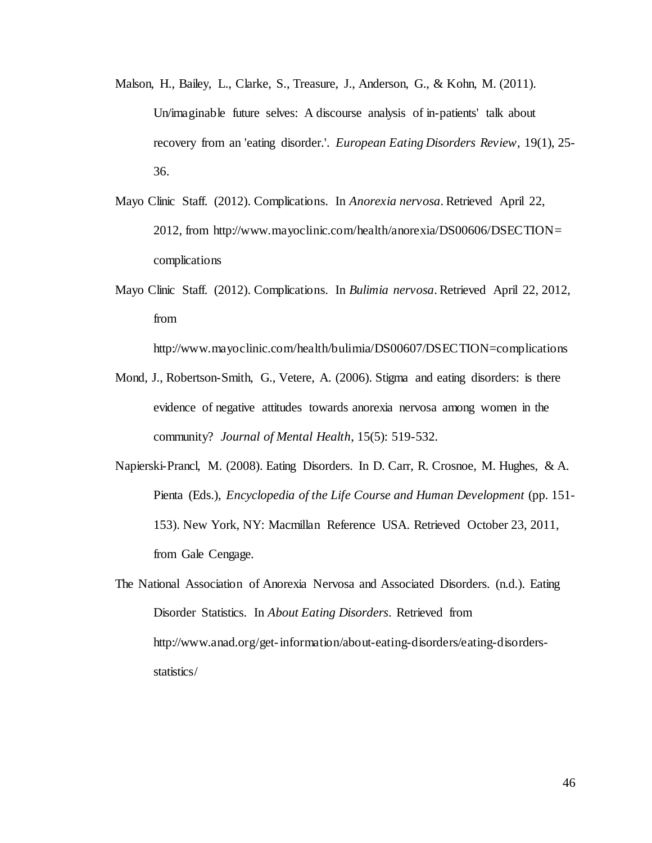- Malson, H., Bailey, L., Clarke, S., Treasure, J., Anderson, G., & Kohn, M. (2011). Un/imaginable future selves: A discourse analysis of in-patients' talk about recovery from an 'eating disorder.'. *European Eating Disorders Review*, 19(1), 25- 36.
- Mayo Clinic Staff. (2012). Complications. In *Anorexia nervosa*. Retrieved April 22, 2012, from http://www.mayoclinic.com/health/anorexia/DS00606/DSECTION= complications
- Mayo Clinic Staff. (2012). Complications. In *Bulimia nervosa*. Retrieved April 22, 2012, from

http://www.mayoclinic.com/health/bulimia/DS00607/DSECTION=complications

- Mond, J., Robertson-Smith, G., Vetere, A. (2006). Stigma and eating disorders: is there evidence of negative attitudes towards anorexia nervosa among women in the community? *Journal of Mental Health*, 15(5): 519-532.
- Napierski-Prancl, M. (2008). Eating Disorders. In D. Carr, R. Crosnoe, M. Hughes, & A. Pienta (Eds.), *Encyclopedia of the Life Course and Human Development* (pp. 151- 153). New York, NY: Macmillan Reference USA. Retrieved October 23, 2011, from Gale Cengage.
- The National Association of Anorexia Nervosa and Associated Disorders. (n.d.). Eating Disorder Statistics. In *About Eating Disorders*. Retrieved from http://www.anad.org/get-information/about-eating-disorders/eating-disordersstatistics/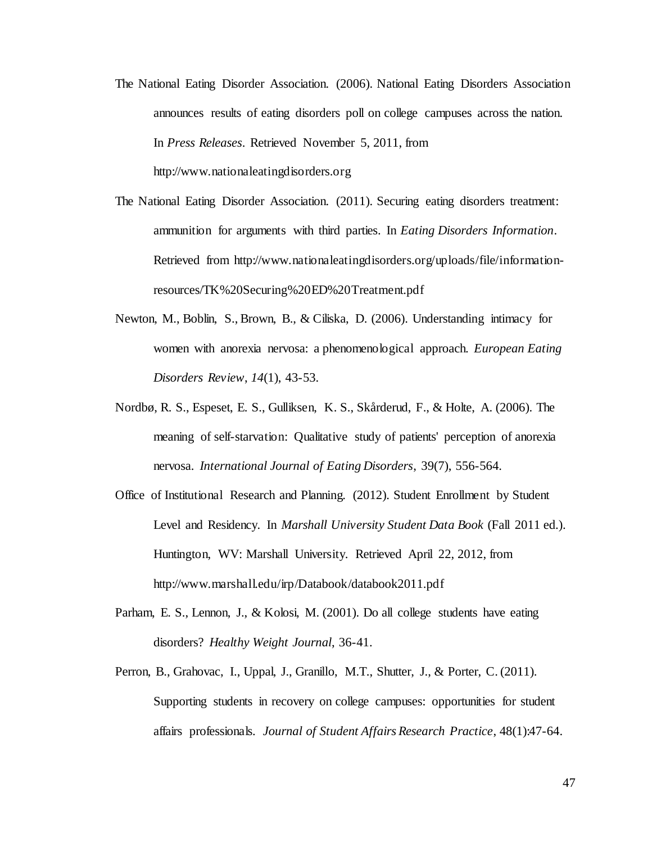- The National Eating Disorder Association. (2006). National Eating Disorders Association announces results of eating disorders poll on college campuses across the nation. In *Press Releases*. Retrieved November 5, 2011, from http://www.nationaleatingdisorders.org
- The National Eating Disorder Association. (2011). Securing eating disorders treatment: ammunition for arguments with third parties. In *Eating Disorders Information*. Retrieved from http://www.nationaleatingdisorders.org/uploads/file/informationresources/TK%20Securing%20ED%20Treatment.pdf
- Newton, M., Boblin, S., Brown, B., & Ciliska, D. (2006). Understanding intimacy for women with anorexia nervosa: a phenomenological approach. *European Eating Disorders Review*, *14*(1), 43-53.
- Nordbø, R. S., Espeset, E. S., Gulliksen, K. S., Skårderud, F., & Holte, A. (2006). The meaning of self-starvation: Qualitative study of patients' perception of anorexia nervosa. *International Journal of Eating Disorders*, 39(7), 556-564.
- Office of Institutional Research and Planning. (2012). Student Enrollment by Student Level and Residency. In *Marshall University Student Data Book* (Fall 2011 ed.). Huntington, WV: Marshall University. Retrieved April 22, 2012, from http://www.marshall.edu/irp/Databook/databook2011.pdf
- Parham, E. S., Lennon, J., & Kolosi, M. (2001). Do all college students have eating disorders? *Healthy Weight Journal*, 36-41.
- Perron, B., Grahovac, I., Uppal, J., Granillo, M.T., Shutter, J., & Porter, C. (2011). Supporting students in recovery on college campuses: opportunities for student affairs professionals. *Journal of Student Affairs Research Practice*, 48(1):47-64.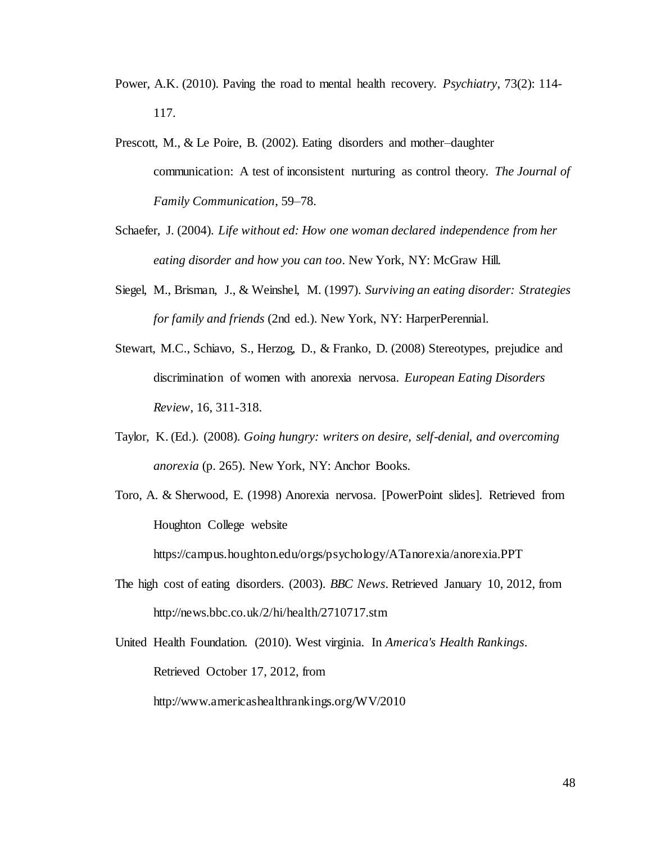- Power, A.K. (2010). Paving the road to mental health recovery. *Psychiatry*, 73(2): 114- 117.
- Prescott, M., & Le Poire, B. (2002). Eating disorders and mother–daughter communication: A test of inconsistent nurturing as control theory. *The Journal of Family Communication*, 59–78.
- Schaefer, J. (2004). *Life without ed: How one woman declared independence from her eating disorder and how you can too*. New York, NY: McGraw Hill.
- Siegel, M., Brisman, J., & Weinshel, M. (1997). *Surviving an eating disorder: Strategies for family and friends* (2nd ed.). New York, NY: HarperPerennial.
- Stewart, M.C., Schiavo, S., Herzog, D., & Franko, D. (2008) Stereotypes, prejudice and discrimination of women with anorexia nervosa. *European Eating Disorders Review*, 16, 311-318.
- Taylor, K. (Ed.). (2008). *Going hungry: writers on desire, self-denial, and overcoming anorexia* (p. 265). New York, NY: Anchor Books.
- Toro, A. & Sherwood, E. (1998) Anorexia nervosa. [PowerPoint slides]. Retrieved from Houghton College website

https://campus.houghton.edu/orgs/psychology/ATanorexia/anorexia.PPT

The high cost of eating disorders. (2003). *BBC News*. Retrieved January 10, 2012, from http://news.bbc.co.uk/2/hi/health/2710717.stm

United Health Foundation. (2010). West virginia. In *America's Health Rankings*. Retrieved October 17, 2012, from http://www.americashealthrankings.org/WV/2010